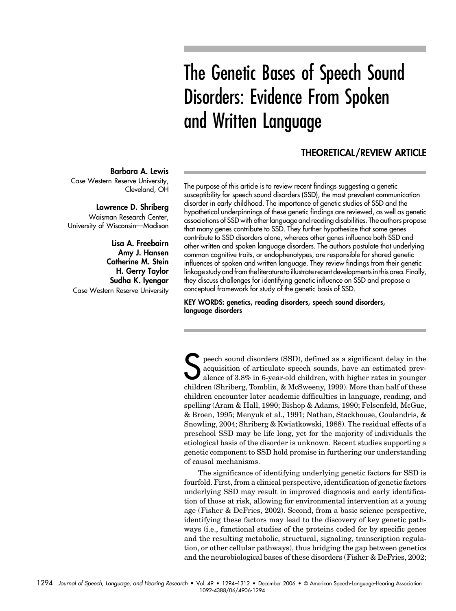# The Genetic Bases of Speech Sound Disorders: Evidence From Spoken and Written Language

#### THEORETICAL/REVIEW ARTICLE

The purpose of this article is to review recent findings suggesting a genetic susceptibility for speech sound disorders (SSD), the most prevalent communication disorder in early childhood. The importance of genetic studies of SSD and the hypothetical underpinnings of these genetic findings are reviewed, as well as genetic associations of SSD with other language and reading disabilities. The authors propose that many genes contribute to SSD. They further hypothesize that some genes contribute to SSD disorders alone, whereas other genes influence both SSD and other written and spoken language disorders. The authors postulate that underlying common cognitive traits, or endophenotypes, are responsible for shared genetic influences of spoken and written language. They review findings from their genetic linkage study and from the literature to illustrate recent developments in this area. Finally, they discuss challenges for identifying genetic influence on SSD and propose a conceptual framework for study of the genetic basis of SSD.

KEY WORDS: genetics, reading disorders, speech sound disorders, language disorders

peech sound disorders (SSD), defined as a significant delay in the acquisition of articulate speech sounds, have an estimated prevalence of 3.8% in 6-year-old children, with higher rates in younger children (Shriberg, Tomblin, & McSweeny, 1999). More than half of these children encounter later academic difficulties in language, reading, and spelling (Aram & Hall, 1990; Bishop & Adams, 1990; Felsenfeld, McGue, & Broen, 1995; Menyuk et al., 1991; Nathan, Stackhouse, Goulandris, & Snowling, 2004; Shriberg & Kwiatkowski, 1988). The residual effects of a preschool SSD may be life long, yet for the majority of individuals the etiological basis of the disorder is unknown. Recent studies supporting a genetic component to SSD hold promise in furthering our understanding of causal mechanisms.

The significance of identifying underlying genetic factors for SSD is fourfold. First, from a clinical perspective, identification of genetic factors underlying SSD may result in improved diagnosis and early identification of those at risk, allowing for environmental intervention at a young age (Fisher & DeFries, 2002). Second, from a basic science perspective, identifying these factors may lead to the discovery of key genetic pathways (i.e., functional studies of the proteins coded for by specific genes and the resulting metabolic, structural, signaling, transcription regulation, or other cellular pathways), thus bridging the gap between genetics and the neurobiological bases of these disorders (Fisher & DeFries, 2002;

Barbara A. Lewis Case Western Reserve University, Cleveland, OH

Lawrence D. Shriberg Waisman Research Center, University of Wisconsin—Madison

Lisa A. Freebairn Amy J. Hansen Catherine M. Stein H. Gerry Taylor Sudha K. Iyengar Case Western Reserve University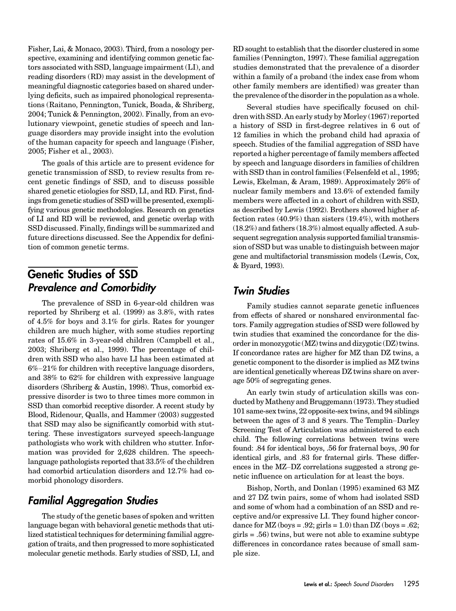Fisher, Lai, & Monaco, 2003). Third, from a nosology perspective, examining and identifying common genetic factors associated with SSD, language impairment (LI), and reading disorders (RD) may assist in the development of meaningful diagnostic categories based on shared underlying deficits, such as impaired phonological representations (Raitano, Pennington, Tunick, Boada, & Shriberg, 2004; Tunick & Pennington, 2002). Finally, from an evolutionary viewpoint, genetic studies of speech and language disorders may provide insight into the evolution of the human capacity for speech and language (Fisher, 2005; Fisher et al., 2003).

The goals of this article are to present evidence for genetic transmission of SSD, to review results from recent genetic findings of SSD, and to discuss possible shared genetic etiologies for SSD, LI, and RD. First, findings from genetic studies of SSD will be presented, exemplifying various genetic methodologies. Research on genetics of LI and RD will be reviewed, and genetic overlap with SSD discussed. Finally, findings will be summarized and future directions discussed. See the Appendix for definition of common genetic terms.

## Genetic Studies of SSD Prevalence and Comorbidity

The prevalence of SSD in 6-year-old children was reported by Shriberg et al. (1999) as 3.8%, with rates of 4.5% for boys and 3.1% for girls. Rates for younger children are much higher, with some studies reporting rates of 15.6% in 3-year-old children (Campbell et al., 2003; Shriberg et al., 1999). The percentage of children with SSD who also have LI has been estimated at 6%–21% for children with receptive language disorders, and 38% to 62% for children with expressive language disorders (Shriberg & Austin, 1998). Thus, comorbid expressive disorder is two to three times more common in SSD than comorbid receptive disorder. A recent study by Blood, Ridenour, Qualls, and Hammer (2003) suggested that SSD may also be significantly comorbid with stuttering. These investigators surveyed speech-language pathologists who work with children who stutter. Information was provided for 2,628 children. The speechlanguage pathologists reported that 33.5% of the children had comorbid articulation disorders and 12.7% had comorbid phonology disorders.

#### Familial Aggregation Studies

The study of the genetic bases of spoken and written language began with behavioral genetic methods that utilized statistical techniques for determining familial aggregation of traits, and then progressed to more sophisticated molecular genetic methods. Early studies of SSD, LI, and RD sought to establish that the disorder clustered in some families (Pennington, 1997). These familial aggregation studies demonstrated that the prevalence of a disorder within a family of a proband (the index case from whom other family members are identified) was greater than the prevalence of the disorder in the population as a whole.

Several studies have specifically focused on children with SSD. An early study by Morley (1967) reported a history of SSD in first-degree relatives in 6 out of 12 families in which the proband child had apraxia of speech. Studies of the familial aggregation of SSD have reported a higher percentage of family members affected by speech and language disorders in families of children with SSD than in control families (Felsenfeld et al., 1995; Lewis, Ekelman, & Aram, 1989). Approximately 26% of nuclear family members and 13.6% of extended family members were affected in a cohort of children with SSD, as described by Lewis (1992). Brothers showed higher affection rates (40.9%) than sisters (19.4%), with mothers (18.2%) and fathers (18.3%) almost equally affected. A subsequent segregation analysis supported familial transmission of SSD but was unable to distinguish between major gene and multifactorial transmission models (Lewis, Cox, & Byard, 1993).

#### Twin Studies

Family studies cannot separate genetic influences from effects of shared or nonshared environmental factors. Family aggregation studies of SSD were followed by twin studies that examined the concordance for the disorder in monozygotic (MZ) twins and dizygotic (DZ) twins. If concordance rates are higher for MZ than DZ twins, a genetic component to the disorder is implied as MZ twins are identical genetically whereas DZ twins share on average 50% of segregating genes.

An early twin study of articulation skills was conducted by Matheny and Bruggemann (1973). They studied 101 same-sex twins, 22 opposite-sex twins, and 94 siblings between the ages of 3 and 8 years. The Templin–Darley Screening Test of Articulation was administered to each child. The following correlations between twins were found: .84 for identical boys, .56 for fraternal boys, .90 for identical girls, and .83 for fraternal girls. These differences in the MZ–DZ correlations suggested a strong genetic influence on articulation for at least the boys.

Bishop, North, and Donlan (1995) examined 63 MZ and 27 DZ twin pairs, some of whom had isolated SSD and some of whom had a combination of an SSD and receptive and/or expressive LI. They found higher concordance for MZ (boys = .92; girls = 1.0) than  $\overline{DZ}$  (boys = .62; girls = .56) twins, but were not able to examine subtype differences in concordance rates because of small sample size.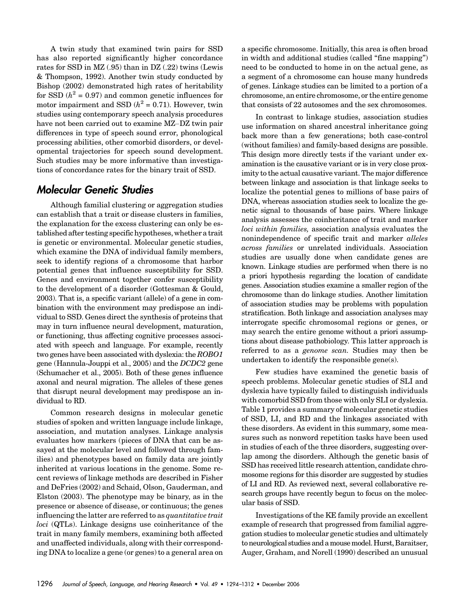A twin study that examined twin pairs for SSD has also reported significantly higher concordance rates for SSD in MZ (.95) than in DZ (.22) twins (Lewis & Thompson, 1992). Another twin study conducted by Bishop (2002) demonstrated high rates of heritability for SSD  $(h^2 = 0.97)$  and common genetic influences for motor impairment and SSD  $(h^2 = 0.71)$ . However, twin studies using contemporary speech analysis procedures have not been carried out to examine MZ–DZ twin pair differences in type of speech sound error, phonological processing abilities, other comorbid disorders, or developmental trajectories for speech sound development. Such studies may be more informative than investigations of concordance rates for the binary trait of SSD.

#### Molecular Genetic Studies

Although familial clustering or aggregation studies can establish that a trait or disease clusters in families, the explanation for the excess clustering can only be established after testing specific hypotheses, whether a trait is genetic or environmental. Molecular genetic studies, which examine the DNA of individual family members, seek to identify regions of a chromosome that harbor potential genes that influence susceptibility for SSD. Genes and environment together confer susceptibility to the development of a disorder (Gottesman & Gould, 2003). That is, a specific variant (allele) of a gene in combination with the environment may predispose an individual to SSD. Genes direct the synthesis of proteins that may in turn influence neural development, maturation, or functioning, thus affecting cognitive processes associated with speech and language. For example, recently two genes have been associated with dyslexia: the ROBO1 gene (Hannula-Jouppi et al., 2005) and the DCDC2 gene (Schumacher et al., 2005). Both of these genes influence axonal and neural migration. The alleles of these genes that disrupt neural development may predispose an individual to RD.

Common research designs in molecular genetic studies of spoken and written language include linkage, association, and mutation analyses. Linkage analysis evaluates how markers (pieces of DNA that can be assayed at the molecular level and followed through families) and phenotypes based on family data are jointly inherited at various locations in the genome. Some recent reviews of linkage methods are described in Fisher and DeFries (2002) and Schaid, Olson, Gauderman, and Elston (2003). The phenotype may be binary, as in the presence or absence of disease, or continuous; the genes influencing the latter are referred to as quantitative trait loci (QTLs). Linkage designs use coinheritance of the trait in many family members, examining both affected and unaffected individuals, along with their corresponding DNA to localize a gene (or genes) to a general area on a specific chromosome. Initially, this area is often broad in width and additional studies (called "fine mapping") need to be conducted to home in on the actual gene, as a segment of a chromosome can house many hundreds of genes. Linkage studies can be limited to a portion of a chromosome, an entire chromosome, or the entire genome that consists of 22 autosomes and the sex chromosomes.

In contrast to linkage studies, association studies use information on shared ancestral inheritance going back more than a few generations; both case-control (without families) and family-based designs are possible. This design more directly tests if the variant under examination is the causative variant or is in very close proximity to the actual causative variant. The major difference between linkage and association is that linkage seeks to localize the potential genes to millions of base pairs of DNA, whereas association studies seek to localize the genetic signal to thousands of base pairs. Where linkage analysis assesses the coinheritance of trait and marker loci within families, association analysis evaluates the nonindependence of specific trait and marker alleles across families or unrelated individuals. Association studies are usually done when candidate genes are known. Linkage studies are performed when there is no a priori hypothesis regarding the location of candidate genes. Association studies examine a smaller region of the chromosome than do linkage studies. Another limitation of association studies may be problems with population stratification. Both linkage and association analyses may interrogate specific chromosomal regions or genes, or may search the entire genome without a priori assumptions about disease pathobiology. This latter approach is referred to as a genome scan. Studies may then be undertaken to identify the responsible gene(s).

Few studies have examined the genetic basis of speech problems. Molecular genetic studies of SLI and dyslexia have typically failed to distinguish individuals with comorbid SSD from those with only SLI or dyslexia. Table 1 provides a summary of molecular genetic studies of SSD, LI, and RD and the linkages associated with these disorders. As evident in this summary, some measures such as nonword repetition tasks have been used in studies of each of the three disorders, suggesting overlap among the disorders. Although the genetic basis of SSD has received little research attention, candidate chromosome regions for this disorder are suggested by studies of LI and RD. As reviewed next, several collaborative research groups have recently begun to focus on the molecular basis of SSD.

Investigations of the KE family provide an excellent example of research that progressed from familial aggregation studies to molecular genetic studies and ultimately to neurological studies and amousemodel.Hurst, Baraitser, Auger, Graham, and Norell (1990) described an unusual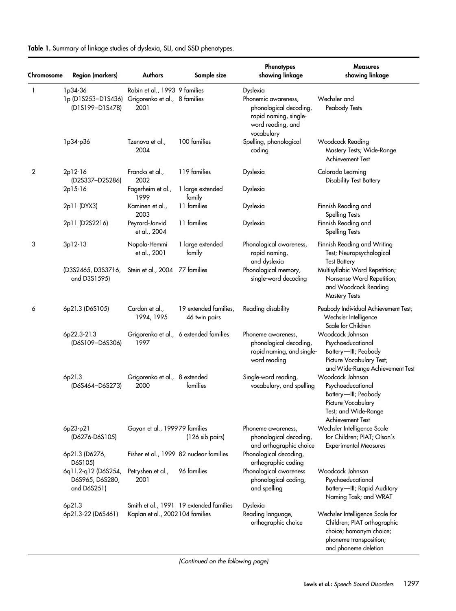| Chromosome | <b>Region (markers)</b>                               | <b>Authors</b>                                                         | Sample size                             | Phenotypes<br>showing linkage                                                                                         | <b>Measures</b><br>showing linkage                                                                                                          |
|------------|-------------------------------------------------------|------------------------------------------------------------------------|-----------------------------------------|-----------------------------------------------------------------------------------------------------------------------|---------------------------------------------------------------------------------------------------------------------------------------------|
| 1          | 1p34-36<br>1p (D1S253-D1S436)<br>(D1S199-D1S478)      | Rabin et al., 1993 9 families<br>Grigorenko et al., 8 families<br>2001 |                                         | Dyslexia<br>Phonemic awareness,<br>phonological decoding,<br>rapid naming, single-<br>word reading, and<br>vocabulary | Wechsler and<br>Peabody Tests                                                                                                               |
|            | 1p34-p36                                              | Tzenova et al.,<br>2004                                                | 100 families                            | Spelling, phonological<br>coding                                                                                      | Woodcock Reading<br>Mastery Tests; Wide-Range<br><b>Achievement Test</b>                                                                    |
| 2          | 2p12-16<br>(D2S337-D2S286)                            | Francks et al.,<br>2002                                                | 119 families                            | Dyslexia                                                                                                              | Colorado Learning<br><b>Disability Test Battery</b>                                                                                         |
|            | 2p15-16                                               | Fagerheim et al.,<br>1999                                              | 1 large extended<br>family              | Dyslexia                                                                                                              |                                                                                                                                             |
|            | 2p11 (DYX3)                                           | Kaminen et al.,<br>2003                                                | 11 families                             | Dyslexia                                                                                                              | Finnish Reading and<br><b>Spelling Tests</b>                                                                                                |
|            | 2p11 (D2S2216)                                        | Peyrard-Janvid<br>et al., 2004                                         | 11 families                             | Dyslexia                                                                                                              | Finnish Reading and<br><b>Spelling Tests</b>                                                                                                |
| 3          | 3p12-13                                               | Nopola-Hemmi<br>et al., 2001                                           | 1 large extended<br>family              | Phonological awareness,<br>rapid naming,<br>and dyslexia                                                              | Finnish Reading and Writing<br>Test; Neuropsychological<br><b>Test Battery</b>                                                              |
|            | (D3S2465, D3S3716,<br>and D3S1595)                    | Stein et al., 2004 77 families                                         |                                         | Phonological memory,<br>single-word decoding                                                                          | Multisyllabic Word Repetition;<br>Nonsense Word Repetition;<br>and Woodcock Reading<br><b>Mastery Tests</b>                                 |
| 6          | 6p21.3 (D6S105)                                       | Cardon et al.,<br>1994, 1995                                           | 19 extended families,<br>46 twin pairs  | Reading disability                                                                                                    | Peabody Individual Achievement Test;<br>Wechsler Intelligence<br>Scale for Children                                                         |
|            | 6p22.3-21.3<br>(D6S109-D6S306)                        | 1997                                                                   | Grigorenko et al., 6 extended families  | Phoneme awareness,<br>phonological decoding,<br>rapid naming, and single-<br>word reading                             | Woodcock Johnson<br>Psychoeducational<br>Battery-III; Peabody<br>Picture Vocabulary Test;<br>and Wide-Range Achievement Test                |
|            | 6p21.3<br>(D6S464-D6S273)                             | Grigorenko et al., 8 extended<br>2000                                  | families                                | Single-word reading,<br>vocabulary, and spelling                                                                      | Woodcock Johnson<br>Psychoeducational<br>Battery-III; Peabody<br>Picture Vocabulary<br>Test; and Wide-Range<br>Achievement Test             |
|            | 6p23-p21<br>(D6276-D6S105)                            | Gayan et al., 199979 families                                          | (126 sib pairs)                         | Phoneme awareness,<br>phonological decoding,<br>and orthographic choice                                               | Wechsler Intelligence Scale<br>for Children; PIAT; Olson's<br><b>Experimental Measures</b>                                                  |
|            | 6p21.3 (D6276,<br>D6S105)                             |                                                                        | Fisher et al., 1999 82 nuclear families | Phonological decoding,<br>orthographic coding                                                                         |                                                                                                                                             |
|            | 6q11.2-q12 (D6S254,<br>D6S965, D6S280,<br>and D6S251) | Petryshen et al.,<br>2001                                              | 96 families                             | Phonological awareness<br>phonological coding,<br>and spelling                                                        | Woodcock Johnson<br>Psychoeducational<br>Battery-III; Rapid Auditory<br>Naming Task; and WRAT                                               |
|            | 6p21.3<br>6p21.3-22 (D6S461)                          | Kaplan et al., 2002 104 families                                       | Smith et al., 1991 19 extended families | Dyslexia<br>Reading language,<br>orthographic choice                                                                  | Wechsler Intelligence Scale for<br>Children; PIAT orthographic<br>choice; homonym choice;<br>phoneme transposition;<br>and phoneme deletion |

Table 1. Summary of linkage studies of dyslexia, SLI, and SSD phenotypes.

(Continued on the following page)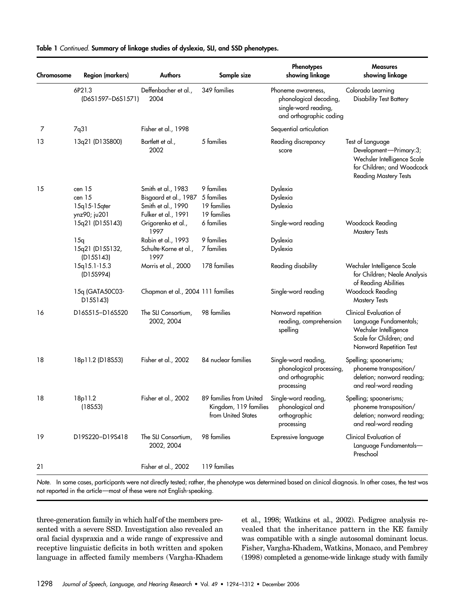| Chromosome | <b>Region (markers)</b>                          | <b>Authors</b>                                                                           | Sample size                                                                             | <b>Phenotypes</b><br>showing linkage                                                            | <b>Measures</b><br>showing linkage                                                                                                      |
|------------|--------------------------------------------------|------------------------------------------------------------------------------------------|-----------------------------------------------------------------------------------------|-------------------------------------------------------------------------------------------------|-----------------------------------------------------------------------------------------------------------------------------------------|
|            | 6P21.3<br>(D6S1597-D6S1571)                      | Deffenbacher et al.,<br>2004                                                             | 349 families                                                                            | Phoneme awareness,<br>phonological decoding,<br>single-word reading,<br>and orthographic coding | Colorado Learning<br><b>Disability Test Battery</b>                                                                                     |
| 7          | 7q31                                             | Fisher et al., 1998                                                                      |                                                                                         | Sequential articulation                                                                         |                                                                                                                                         |
| 13         | 13q21 (D13S800)                                  | Bartlett et al.,<br>2002                                                                 | 5 families                                                                              | Reading discrepancy<br>score                                                                    | Test of Language<br>Development-Primary:3;<br>Wechsler Intelligence Scale<br>for Children; and Woodcock<br><b>Reading Mastery Tests</b> |
| 15         | cen 15<br>cen 15<br>15q15-15qter<br>ynz90; ju201 | Smith et al., 1983<br>Bisgaard et al., 1987<br>Smith et al., 1990<br>Fulker et al., 1991 | 9 families<br>5 families<br>19 families<br>19 families                                  | Dyslexia<br>Dyslexia<br>Dyslexia                                                                |                                                                                                                                         |
|            | 15q21 (D15S143)                                  | Grigorenko et al.,<br>1997                                                               | 6 families                                                                              | Single-word reading                                                                             | Woodcock Reading<br><b>Mastery Tests</b>                                                                                                |
|            | 15q<br>15q21 (D15S132,<br>(D15S143)              | Rabin et al., 1993<br>Schulte-Korne et al.,<br>1997                                      | 9 families<br>7 families                                                                | Dyslexia<br>Dyslexia                                                                            |                                                                                                                                         |
|            | $15q15.1-15.3$<br>(D15S994)                      | Morris et al., 2000                                                                      | 178 families                                                                            | Reading disability                                                                              | Wechsler Intelligence Scale<br>for Children; Neale Analysis<br>of Reading Abilities                                                     |
|            | 15q (GATA50C03-<br>D15S143)                      | Chapman et al., 2004 111 families                                                        |                                                                                         | Single-word reading                                                                             | Woodcock Reading<br><b>Mastery Tests</b>                                                                                                |
| 16         | D16S515-D16S520                                  | The SLI Consortium,<br>2002, 2004                                                        | 98 families                                                                             | Nonword repetition<br>reading, comprehension<br>spelling                                        | Clinical Evaluation of<br>Language Fundamentals;<br>Wechsler Intelligence<br>Scale for Children; and<br>Nonword Repetition Test         |
| 18         | 18p11.2 (D18S53)                                 | Fisher et al., 2002                                                                      | 84 nuclear families                                                                     | Single-word reading,<br>phonological processing,<br>and orthographic<br>processing              | Spelling; spoonerisms;<br>phoneme transposition/<br>deletion; nonword reading;<br>and real-word reading                                 |
| 18         | 18p11.2<br>(18S53)                               | Fisher et al., 2002                                                                      | 89 families from United<br>Kingdom, 119 families phonological and<br>from United States | Single-word reading,<br>orthographic<br>processing                                              | Spelling; spoonerisms;<br>phoneme transposition/<br>deletion; nonword reading;<br>and real-word reading                                 |
| 19         | D19S220-D19S418                                  | The SLI Consortium,<br>2002, 2004                                                        | 98 families                                                                             | Expressive language                                                                             | Clinical Evaluation of<br>Language Fundamentals-<br>Preschool                                                                           |
| 21         |                                                  | Fisher et al., 2002                                                                      | 119 families                                                                            |                                                                                                 |                                                                                                                                         |

Table 1 Continued. Summary of linkage studies of dyslexia, SLI, and SSD phenotypes.

Note. In some cases, participants were not directly tested; rather, the phenotype was determined based on clinical diagnosis. In other cases, the test was not reported in the article—most of these were not English-speaking.

three-generation family in which half of the members presented with a severe SSD. Investigation also revealed an oral facial dyspraxia and a wide range of expressive and receptive linguistic deficits in both written and spoken language in affected family members (Vargha-Khadem et al., 1998; Watkins et al., 2002). Pedigree analysis revealed that the inheritance pattern in the KE family was compatible with a single autosomal dominant locus. Fisher, Vargha-Khadem, Watkins, Monaco, and Pembrey (1998) completed a genome-wide linkage study with family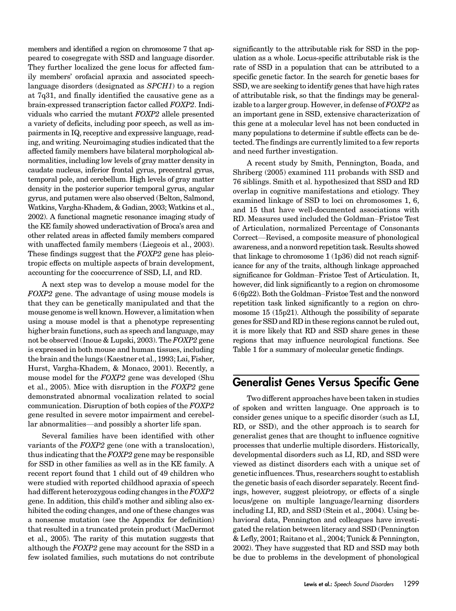members and identified a region on chromosome 7 that appeared to cosegregate with SSD and language disorder. They further localized the gene locus for affected family members' orofacial apraxia and associated speechlanguage disorders (designated as SPCH1) to a region at 7q31, and finally identified the causative gene as a brain-expressed transcription factor called FOXP2. Individuals who carried the mutant FOXP2 allele presented a variety of deficits, including poor speech, as well as impairments in IQ, receptive and expressive language, reading, and writing. Neuroimaging studies indicated that the affected family members have bilateral morphological abnormalities, including low levels of gray matter density in caudate nucleus, inferior frontal gyrus, precentral gyrus, temporal pole, and cerebellum. High levels of gray matter density in the posterior superior temporal gyrus, angular gyrus, and putamen were also observed (Belton, Salmond, Watkins, Vargha-Khadem, & Gadian, 2003; Watkins et al., 2002). A functional magnetic resonance imaging study of the KE family showed underactivation of Broca's area and other related areas in affected family members compared with unaffected family members (Liegeois et al., 2003). These findings suggest that the FOXP2 gene has pleiotropic effects on multiple aspects of brain development, accounting for the cooccurrence of SSD, LI, and RD.

A next step was to develop a mouse model for the FOXP2 gene. The advantage of using mouse models is that they can be genetically manipulated and that the mouse genome is well known. However, a limitation when using a mouse model is that a phenotype representing higher brain functions, such as speech and language, may not be observed (Inoue & Lupski, 2003). The FOXP2 gene is expressed in both mouse and human tissues, including the brain and the lungs (Kaestner et al., 1993; Lai, Fisher, Hurst, Vargha-Khadem, & Monaco, 2001). Recently, a mouse model for the FOXP2 gene was developed (Shu et al., 2005). Mice with disruption in the FOXP2 gene demonstrated abnormal vocalization related to social communication. Disruption of both copies of the FOXP2 gene resulted in severe motor impairment and cerebellar abnormalities—and possibly a shorter life span.

Several families have been identified with other variants of the FOXP2 gene (one with a translocation), thus indicating that the FOXP2 gene may be responsible for SSD in other families as well as in the KE family. A recent report found that 1 child out of 49 children who were studied with reported childhood apraxia of speech had different heterozygous coding changes in the FOXP2 gene. In addition, this child's mother and sibling also exhibited the coding changes, and one of these changes was a nonsense mutation (see the Appendix for definition) that resulted in a truncated protein product (MacDermot et al., 2005). The rarity of this mutation suggests that although the FOXP2 gene may account for the SSD in a few isolated families, such mutations do not contribute significantly to the attributable risk for SSD in the population as a whole. Locus-specific attributable risk is the rate of SSD in a population that can be attributed to a specific genetic factor. In the search for genetic bases for SSD, we are seeking to identify genes that have high rates of attributable risk, so that the findings may be generalizable to a larger group. However, in defense of FOXP2 as an important gene in SSD, extensive characterization of this gene at a molecular level has not been conducted in many populations to determine if subtle effects can be detected. The findings are currently limited to a few reports and need further investigation.

A recent study by Smith, Pennington, Boada, and Shriberg (2005) examined 111 probands with SSD and 76 siblings. Smith et al. hypothesized that SSD and RD overlap in cognitive manifestations and etiology. They examined linkage of SSD to loci on chromosomes 1, 6, and 15 that have well-documented associations with RD. Measures used included the Goldman–Fristoe Test of Articulation, normalized Percentage of Consonants Correct—Revised, a composite measure of phonological awareness, and a nonword repetition task. Results showed that linkage to chromosome 1 (1p36) did not reach significance for any of the traits, although linkage approached significance for Goldman–Fristoe Test of Articulation. It, however, did link significantly to a region on chromosome 6 (6p22). Both the Goldman–Fristoe Test and the nonword repetition task linked significantly to a region on chromosome 15 (15p21). Although the possibility of separate genes for SSD and RD in these regions cannot be ruled out, it is more likely that RD and SSD share genes in these regions that may influence neurological functions. See Table 1 for a summary of molecular genetic findings.

### Generalist Genes Versus Specific Gene

Two different approaches have been taken in studies of spoken and written language. One approach is to consider genes unique to a specific disorder (such as LI, RD, or SSD), and the other approach is to search for generalist genes that are thought to influence cognitive processes that underlie multiple disorders. Historically, developmental disorders such as LI, RD, and SSD were viewed as distinct disorders each with a unique set of genetic influences. Thus, researchers sought to establish the genetic basis of each disorder separately. Recent findings, however, suggest pleiotropy, or effects of a single locus/gene on multiple language/ learning disorders including LI, RD, and SSD (Stein et al., 2004). Using behavioral data, Pennington and colleagues have investigated the relation between literacy and SSD (Pennington & Lefly, 2001; Raitano et al., 2004; Tunick & Pennington, 2002). They have suggested that RD and SSD may both be due to problems in the development of phonological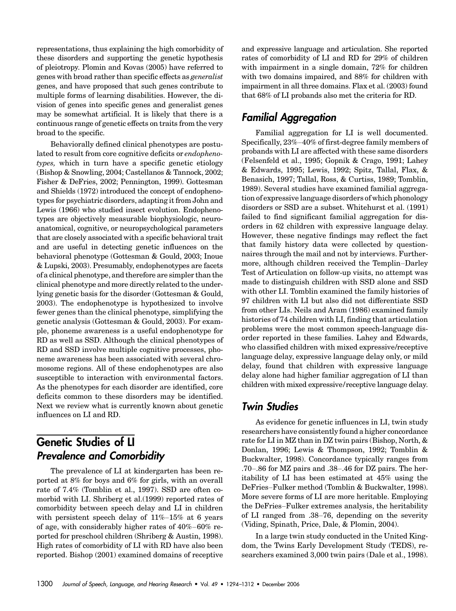representations, thus explaining the high comorbidity of these disorders and supporting the genetic hypothesis of pleiotropy. Plomin and Kovas (2005) have referred to genes with broad rather than specific effects as generalist genes, and have proposed that such genes contribute to multiple forms of learning disabilities. However, the division of genes into specific genes and generalist genes may be somewhat artificial. It is likely that there is a continuous range of genetic effects on traits from the very broad to the specific.

Behaviorally defined clinical phenotypes are postulated to result from core cognitive deficits or endophenotypes, which in turn have a specific genetic etiology (Bishop & Snowling, 2004; Castellanos & Tannock, 2002; Fisher & DeFries, 2002; Pennington, 1999). Gottesman and Shields (1972) introduced the concept of endophenotypes for psychiatric disorders, adapting it from John and Lewis (1966) who studied insect evolution. Endophenotypes are objectively measurable biophysiologic, neuroanatomical, cognitive, or neuropsychological parameters that are closely associated with a specific behavioral trait and are useful in detecting genetic influences on the behavioral phenotype (Gottesman & Gould, 2003; Inoue & Lupski, 2003). Presumably, endophenotypes are facets of a clinical phenotype, and therefore are simpler than the clinical phenotype and more directly related to the underlying genetic basis for the disorder (Gottesman & Gould, 2003). The endophenotype is hypothesized to involve fewer genes than the clinical phenotype, simplifying the genetic analysis (Gottesman & Gould, 2003). For example, phoneme awareness is a useful endophenotype for RD as well as SSD. Although the clinical phenotypes of RD and SSD involve multiple cognitive processes, phoneme awareness has been associated with several chromosome regions. All of these endophenotypes are also susceptible to interaction with environmental factors. As the phenotypes for each disorder are identified, core deficits common to these disorders may be identified. Next we review what is currently known about genetic influences on LI and RD.

## Genetic Studies of LI Prevalence and Comorbidity

The prevalence of LI at kindergarten has been reported at 8% for boys and 6% for girls, with an overall rate of 7.4% (Tomblin et al., 1997). SSD are often comorbid with LI. Shriberg et al.(1999) reported rates of comorbidity between speech delay and LI in children with persistent speech delay of  $11\%$ – $15\%$  at 6 years of age, with considerably higher rates of 40%–60% reported for preschool children (Shriberg & Austin, 1998). High rates of comorbidity of LI with RD have also been reported. Bishop (2001) examined domains of receptive

and expressive language and articulation. She reported rates of comorbidity of LI and RD for 29% of children with impairment in a single domain, 72% for children with two domains impaired, and 88% for children with impairment in all three domains. Flax et al. (2003) found that 68% of LI probands also met the criteria for RD.

#### Familial Aggregation

Familial aggregation for LI is well documented. Specifically, 23%–40% of first-degree family members of probands with LI are affected with these same disorders (Felsenfeld et al., 1995; Gopnik & Crago, 1991; Lahey & Edwards, 1995; Lewis, 1992; Spitz, Tallal, Flax, & Benasich, 1997; Tallal, Ross, & Curtiss, 1989; Tomblin, 1989). Several studies have examined familial aggregation of expressive language disorders of which phonology disorders or SSD are a subset. Whitehurst et al. (1991) failed to find significant familial aggregation for disorders in 62 children with expressive language delay. However, these negative findings may reflect the fact that family history data were collected by questionnaires through the mail and not by interviews. Furthermore, although children received the Templin–Darley Test of Articulation on follow-up visits, no attempt was made to distinguish children with SSD alone and SSD with other LI. Tomblin examined the family histories of 97 children with LI but also did not differentiate SSD from other LIs. Neils and Aram (1986) examined family histories of 74 children with LI, finding that articulation problems were the most common speech-language disorder reported in these families. Lahey and Edwards, who classified children with mixed expressive/receptive language delay, expressive language delay only, or mild delay, found that children with expressive language delay alone had higher familiar aggregation of LI than children with mixed expressive/receptive language delay.

#### Twin Studies

As evidence for genetic influences in LI, twin study researchers have consistently found a higher concordance rate for LI in MZ than in DZ twin pairs (Bishop, North, & Donlan, 1996; Lewis & Thompson, 1992; Tomblin & Buckwalter, 1998). Concordance typically ranges from .70–.86 for MZ pairs and .38–.46 for DZ pairs. The heritability of LI has been estimated at 45% using the DeFries–Fulker method (Tomblin & Buckwalter, 1998). More severe forms of LI are more heritable. Employing the DeFries–Fulker extremes analysis, the heritability of LI ranged from .38–76, depending on the severity (Viding, Spinath, Price, Dale, & Plomin, 2004).

In a large twin study conducted in the United Kingdom, the Twins Early Development Study (TEDS), researchers examined 3,000 twin pairs (Dale et al., 1998).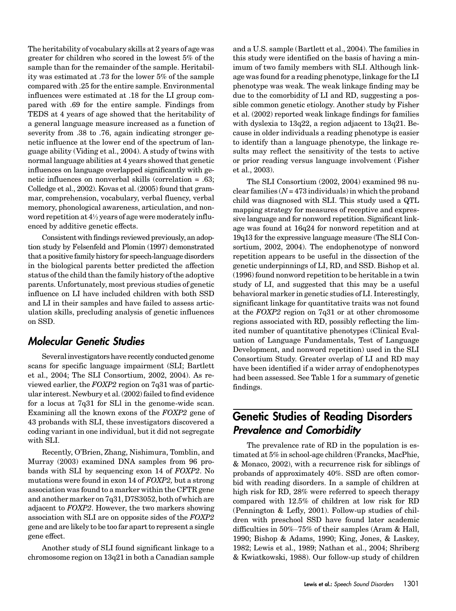The heritability of vocabulary skills at 2 years of age was greater for children who scored in the lowest 5% of the sample than for the remainder of the sample. Heritability was estimated at .73 for the lower 5% of the sample compared with .25 for the entire sample. Environmental influences were estimated at .18 for the LI group compared with .69 for the entire sample. Findings from TEDS at 4 years of age showed that the heritability of a general language measure increased as a function of severity from .38 to .76, again indicating stronger genetic influence at the lower end of the spectrum of language ability (Viding et al., 2004). A study of twins with normal language abilities at 4 years showed that genetic influences on language overlapped significantly with genetic influences on nonverbal skills (correlation = .63; Colledge et al., 2002). Kovas et al. (2005) found that grammar, comprehension, vocabulary, verbal fluency, verbal memory, phonological awareness, articulation, and nonword repetition at 4*2* years of age were moderately influenced by additive genetic effects.

Consistent with findings reviewed previously, an adoption study by Felsenfeld and Plomin (1997) demonstrated that a positive family history for speech-language disorders in the biological parents better predicted the affection status of the child than the family history of the adoptive parents. Unfortunately, most previous studies of genetic influence on LI have included children with both SSD and LI in their samples and have failed to assess articulation skills, precluding analysis of genetic influences on SSD.

#### Molecular Genetic Studies

Several investigators have recently conducted genome scans for specific language impairment (SLI; Bartlett et al., 2004; The SLI Consortium, 2002, 2004). As reviewed earlier, the FOXP2 region on 7q31 was of particular interest. Newbury et al. (2002) failed to find evidence for a locus at 7q31 for SLl in the genome-wide scan. Examining all the known exons of the FOXP2 gene of 43 probands with SLI, these investigators discovered a coding variant in one individual, but it did not segregate with SLI.

Recently, O'Brien, Zhang, Nishimura, Tomblin, and Murray (2003) examined DNA samples from 96 probands with SLI by sequencing exon 14 of FOXP2. No mutations were found in exon 14 of FOXP2, but a strong association was found to a marker within the CFTR gene and another marker on 7q31, D7S3052, both of which are adjacent to FOXP2. However, the two markers showing association with SLI are on opposite sides of the FOXP2 gene and are likely to be too far apart to represent a single gene effect.

Another study of SLI found significant linkage to a chromosome region on 13q21 in both a Canadian sample and a U.S. sample (Bartlett et al., 2004). The families in this study were identified on the basis of having a minimum of two family members with SLI. Although linkage was found for a reading phenotype, linkage for the LI phenotype was weak. The weak linkage finding may be due to the comorbidity of LI and RD, suggesting a possible common genetic etiology. Another study by Fisher et al. (2002) reported weak linkage findings for families with dyslexia to 13q22, a region adjacent to 13q21. Because in older individuals a reading phenotype is easier to identify than a language phenotype, the linkage results may reflect the sensitivity of the tests to active or prior reading versus language involvement (Fisher et al., 2003).

The SLI Consortium (2002, 2004) examined 98 nuclear families  $(N = 473$  individuals) in which the proband child was diagnosed with SLI. This study used a QTL mapping strategy for measures of receptive and expressive language and for nonword repetition. Significant linkage was found at 16q24 for nonword repetition and at 19q13 for the expressive language measure (The SLI Consortium, 2002, 2004). The endophenotype of nonword repetition appears to be useful in the dissection of the genetic underpinnings of LI, RD, and SSD. Bishop et al. (1996) found nonword repetition to be heritable in a twin study of LI, and suggested that this may be a useful behavioral marker in genetic studies of LI. Interestingly, significant linkage for quantitative traits was not found at the FOXP2 region on 7q31 or at other chromosome regions associated with RD, possibly reflecting the limited number of quantitative phenotypes (Clinical Evaluation of Language Fundamentals, Test of Language Development, and nonword repetition) used in the SLI Consortium Study. Greater overlap of LI and RD may have been identified if a wider array of endophenotypes had been assessed. See Table 1 for a summary of genetic findings.

#### Genetic Studies of Reading Disorders Prevalence and Comorbidity

The prevalence rate of RD in the population is estimated at 5% in school-age children (Francks, MacPhie, & Monaco, 2002), with a recurrence risk for siblings of probands of approximately 40%. SSD are often comorbid with reading disorders. In a sample of children at high risk for RD, 28% were referred to speech therapy compared with 12.5% of children at low risk for RD (Pennington & Lefly, 2001). Follow-up studies of children with preschool SSD have found later academic difficulties in 50%–75% of their samples (Aram & Hall, 1990; Bishop & Adams, 1990; King, Jones, & Laskey, 1982; Lewis et al., 1989; Nathan et al., 2004; Shriberg & Kwiatkowski, 1988). Our follow-up study of children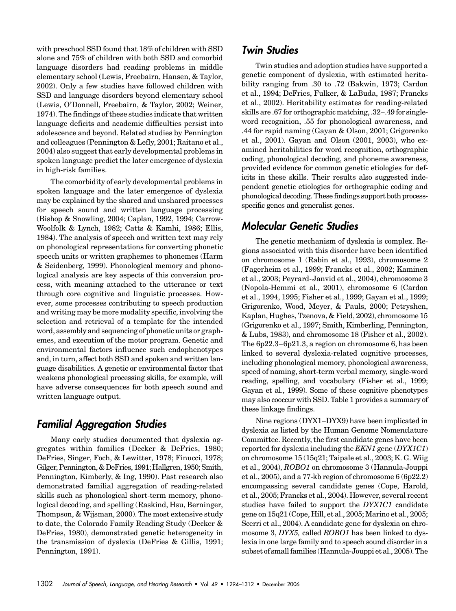with preschool SSD found that 18% of children with SSD alone and 75% of children with both SSD and comorbid language disorders had reading problems in middle elementary school (Lewis, Freebairn, Hansen, & Taylor, 2002). Only a few studies have followed children with SSD and language disorders beyond elementary school (Lewis, O'Donnell, Freebairn, & Taylor, 2002; Weiner, 1974). The findings of these studies indicate that written language deficits and academic difficulties persist into adolescence and beyond. Related studies by Pennington and colleagues (Pennington & Lefly, 2001; Raitano et al., 2004) also suggest that early developmental problems in spoken language predict the later emergence of dyslexia in high-risk families.

The comorbidity of early developmental problems in spoken language and the later emergence of dyslexia may be explained by the shared and unshared processes for speech sound and written language processing (Bishop & Snowling, 2004; Caplan, 1992, 1994; Carrow-Woolfolk & Lynch, 1982; Catts & Kamhi, 1986; Ellis, 1984). The analysis of speech and written text may rely on phonological representations for converting phonetic speech units or written graphemes to phonemes (Harm & Seidenberg, 1999). Phonological memory and phonological analysis are key aspects of this conversion process, with meaning attached to the utterance or text through core cognitive and linguistic processes. However, some processes contributing to speech production and writing may be more modality specific, involving the selection and retrieval of a template for the intended word, assembly and sequencing of phonetic units or graphemes, and execution of the motor program. Genetic and environmental factors influence such endophenotypes and, in turn, affect both SSD and spoken and written language disabilities. A genetic or environmental factor that weakens phonological processing skills, for example, will have adverse consequences for both speech sound and written language output.

#### Familial Aggregation Studies

Many early studies documented that dyslexia aggregates within families (Decker & DeFries, 1980; DeFries, Singer, Foch, & Lewitter, 1978; Finucci, 1978; Gilger, Pennington, & DeFries, 1991; Hallgren, 1950; Smith, Pennington, Kimberly, & Ing, 1990). Past research also demonstrated familial aggregation of reading-related skills such as phonological short-term memory, phonological decoding, and spelling (Raskind, Hsu, Berninger, Thompson, & Wijsman, 2000). The most extensive study to date, the Colorado Family Reading Study (Decker & DeFries, 1980), demonstrated genetic heterogeneity in the transmission of dyslexia (DeFries & Gillis, 1991; Pennington, 1991).

#### Twin Studies

Twin studies and adoption studies have supported a genetic component of dyslexia, with estimated heritability ranging from .30 to .72 (Bakwin, 1973; Cardon et al., 1994; DeFries, Fulker, & LaBuda, 1987; Francks et al., 2002). Heritability estimates for reading-related skills are .67 for orthographic matching, .32–.49 for singleword recognition, .55 for phonological awareness, and .44 for rapid naming (Gayan & Olson, 2001; Grigorenko et al., 2001). Gayan and Olson (2001, 2003), who examined heritabilities for word recognition, orthographic coding, phonological decoding, and phoneme awareness, provided evidence for common genetic etiologies for deficits in these skills. Their results also suggested independent genetic etiologies for orthographic coding and phonological decoding. These findings support both processspecific genes and generalist genes.

## Molecular Genetic Studies

The genetic mechanism of dyslexia is complex. Regions associated with this disorder have been identified on chromosome 1 (Rabin et al., 1993), chromosome 2 (Fagerheim et al., 1999; Francks et al., 2002; Kaminen et al., 2003; Peyrard-Janvid et al., 2004), chromosome 3 (Nopola-Hemmi et al., 2001), chromosome 6 (Cardon et al., 1994, 1995; Fisher et al., 1999; Gayan et al., 1999; Grigorenko, Wood, Meyer, & Pauls, 2000; Petryshen, Kaplan, Hughes, Tzenova, & Field, 2002), chromosome 15 (Grigorenko et al., 1997; Smith, Kimberling, Pennington, & Lubs, 1983), and chromosome 18 (Fisher et al., 2002). The 6p22.3–6p21.3, a region on chromosome 6, has been linked to several dyslexia-related cognitive processes, including phonological memory, phonological awareness, speed of naming, short-term verbal memory, single-word reading, spelling, and vocabulary (Fisher et al., 1999; Gayan et al., 1999). Some of these cognitive phenotypes may also cooccur with SSD. Table 1 provides a summary of these linkage findings.

Nine regions (DYX1–DYX9) have been implicated in dyslexia as listed by the Human Genome Nomenclature Committee. Recently, the first candidate genes have been reported for dyslexia including the  $EKN1$  gene  $(DYX1C1)$ on chromosome 15 (15q21; Taipale et al., 2003; K. G. Wiig et al., 2004), ROBO1 on chromosome 3 (Hannula-Jouppi et al., 2005), and a 77-kb region of chromosome 6 (6p22.2) encompassing several candidate genes (Cope, Harold, et al., 2005; Francks et al., 2004). However, several recent studies have failed to support the DYX1C1 candidate gene on 15q21 (Cope, Hill, et al., 2005; Marino et al., 2005; Scerri et al., 2004). A candidate gene for dyslexia on chromosome 3, DYX5, called ROBO1 has been linked to dyslexia in one large family and to speech sound disorder in a subset of small families (Hannula-Jouppi et al., 2005). The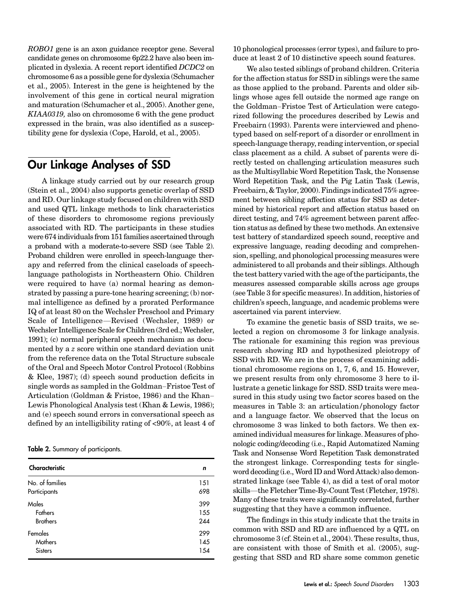ROBO1 gene is an axon guidance receptor gene. Several candidate genes on chromosome 6p22.2 have also been implicated in dyslexia. A recent report identified DCDC2 on chromosome 6 as a possible gene for dyslexia (Schumacher et al., 2005). Interest in the gene is heightened by the involvement of this gene in cortical neural migration and maturation (Schumacher et al., 2005). Another gene, KIAA0319, also on chromosome 6 with the gene product expressed in the brain, was also identified as a susceptibility gene for dyslexia (Cope, Harold, et al., 2005).

## Our Linkage Analyses of SSD

A linkage study carried out by our research group (Stein et al., 2004) also supports genetic overlap of SSD and RD. Our linkage study focused on children with SSD and used QTL linkage methods to link characteristics of these disorders to chromosome regions previously associated with RD. The participants in these studies were 674 individuals from 151 families ascertained through a proband with a moderate-to-severe SSD (see Table 2). Proband children were enrolled in speech-language therapy and referred from the clinical caseloads of speechlanguage pathologists in Northeastern Ohio. Children were required to have (a) normal hearing as demonstrated by passing a pure-tone hearing screening; (b) normal intelligence as defined by a prorated Performance IQ of at least 80 on the Wechsler Preschool and Primary Scale of Intelligence—Revised (Wechsler, 1989) or Wechsler Intelligence Scale for Children (3rd ed.; Wechsler, 1991); (c) normal peripheral speech mechanism as documented by a z score within one standard deviation unit from the reference data on the Total Structure subscale of the Oral and Speech Motor Control Protocol (Robbins & Klee, 1987); (d) speech sound production deficits in single words as sampled in the Goldman–Fristoe Test of Articulation (Goldman & Fristoe, 1986) and the Khan– Lewis Phonological Analysis test (Khan & Lewis, 1986); and (e) speech sound errors in conversational speech as defined by an intelligibility rating of <90%, at least 4 of

Table 2. Summary of participants.

| Characteristic  | n   |
|-----------------|-----|
| No. of families | 151 |
| Participants    | 698 |
| Males           | 399 |
| <b>Fathers</b>  | 155 |
| <b>Brothers</b> | 244 |
| Females         | 299 |
| Mothers         | 145 |
| <b>Sisters</b>  | 154 |

10 phonological processes (error types), and failure to produce at least 2 of 10 distinctive speech sound features.

We also tested siblings of proband children. Criteria for the affection status for SSD in siblings were the same as those applied to the proband. Parents and older siblings whose ages fell outside the normed age range on the Goldman–Fristoe Test of Articulation were categorized following the procedures described by Lewis and Freebairn (1993). Parents were interviewed and phenotyped based on self-report of a disorder or enrollment in speech-language therapy, reading intervention, or special class placement as a child. A subset of parents were directly tested on challenging articulation measures such as the Multisyllabic Word Repetition Task, the Nonsense Word Repetition Task, and the Pig Latin Task (Lewis, Freebairn, & Taylor, 2000). Findings indicated 75% agreement between sibling affection status for SSD as determined by historical report and affection status based on direct testing, and 74% agreement between parent affection status as defined by these two methods. An extensive test battery of standardized speech sound, receptive and expressive language, reading decoding and comprehension, spelling, and phonological processing measures were administered to all probands and their siblings. Although the test battery varied with the age of the participants, the measures assessed comparable skills across age groups (see Table 3 for specific measures). In addition, histories of children's speech, language, and academic problems were ascertained via parent interview.

To examine the genetic basis of SSD traits, we selected a region on chromosome 3 for linkage analysis. The rationale for examining this region was previous research showing RD and hypothesized pleiotropy of SSD with RD. We are in the process of examining additional chromosome regions on 1, 7, 6, and 15. However, we present results from only chromosome 3 here to illustrate a genetic linkage for SSD. SSD traits were measured in this study using two factor scores based on the measures in Table 3: an articulation /phonology factor and a language factor. We observed that the locus on chromosome 3 was linked to both factors. We then examined individual measures for linkage. Measures of phonologic coding/decoding (i.e., Rapid Automatized Naming Task and Nonsense Word Repetition Task demonstrated the strongest linkage. Corresponding tests for singleword decoding (i.e., Word ID and Word Attack) also demonstrated linkage (see Table 4), as did a test of oral motor skills—the Fletcher Time-By-Count Test (Fletcher, 1978). Many of these traits were significantly correlated, further suggesting that they have a common influence.

The findings in this study indicate that the traits in common with SSD and RD are influenced by a QTL on chromosome 3 (cf. Stein et al., 2004). These results, thus, are consistent with those of Smith et al. (2005), suggesting that SSD and RD share some common genetic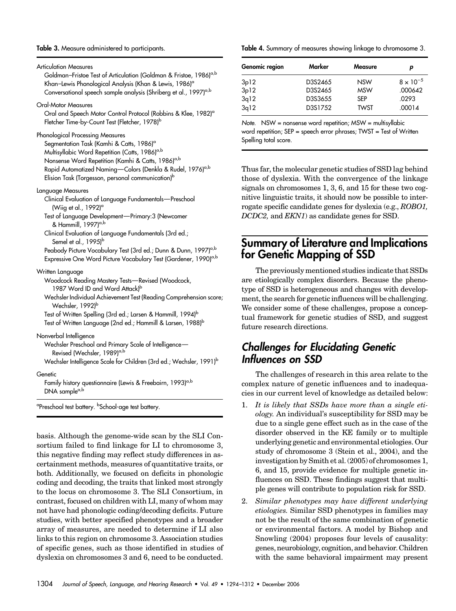#### Table 3. Measure administered to participants.

| <b>Articulation Measures</b><br>Goldman-Fristoe Test of Articulation (Goldman & Fristoe, 1986) <sup>a,b</sup><br>Khan-Lewis Phonological Analysis (Khan & Lewis, 1986) <sup>a</sup><br>Conversational speech sample analysis (Shriberg et al., 1997) <sup>a,b</sup>                                                                                                                                                                                                |
|--------------------------------------------------------------------------------------------------------------------------------------------------------------------------------------------------------------------------------------------------------------------------------------------------------------------------------------------------------------------------------------------------------------------------------------------------------------------|
| <b>Oral-Motor Measures</b><br>Oral and Speech Motor Control Protocol (Robbins & Klee, 1982) <sup>a</sup><br>Fletcher Time-by-Count Test (Fletcher, 1978) <sup>b</sup>                                                                                                                                                                                                                                                                                              |
| Phonological Processing Measures<br>Segmentation Task (Kamhi & Catts, 1986) <sup>a</sup><br>Multisyllabic Word Repetition (Catts, 1986) <sup>a,b</sup><br>Nonsense Word Repetition (Kamhi & Catts, 1986) <sup>a,b</sup><br>Rapid Automatized Naming-Colors (Denkla & Rudel, 1976)a,b<br>Elision Task (Torgesson, personal communication) <sup>b</sup>                                                                                                              |
| Language Measures<br>Clinical Evaluation of Language Fundamentals-Preschool<br>(Wiig et al., 1992) <sup>a</sup><br>Test of Language Development-Primary:3 (Newcomer<br>& Hammill, 1997) <sup>a,b</sup><br>Clinical Evaluation of Language Fundamentals (3rd ed.;<br>Semel et al., 1995) <sup>b</sup><br>Peabody Picture Vocabulary Test (3rd ed.; Dunn & Dunn, 1997) <sup>a,b</sup><br>Expressive One Word Picture Vocabulary Test (Gardener, 1990) <sup>a,b</sup> |
| Written Language<br>Woodcock Reading Mastery Tests-Revised (Woodcock,<br>1987 Word ID and Word Attack) <sup>b</sup><br>Wechsler Individual Achievement Test (Reading Comprehension score;<br>Wechsler, 1992) <sup>b</sup><br>Test of Written Spelling (3rd ed.; Larsen & Hammill, 1994) <sup>b</sup><br>Test of Written Language (2nd ed.; Hammill & Larsen, 1988) <sup>b</sup>                                                                                    |
| Nonverbal Intelligence<br>Wechsler Preschool and Primary Scale of Intelligence-<br>Revised (Wechsler, 1989) <sup>a,b</sup><br>Wechsler Intelligence Scale for Children (3rd ed.; Wechsler, 1991) <sup>b</sup>                                                                                                                                                                                                                                                      |
| Genetic<br>Family history questionnaire (Lewis & Freebairn, 1993) <sup>a,b</sup><br>DNA sample <sup>a,b</sup>                                                                                                                                                                                                                                                                                                                                                      |
| <sup>a</sup> Preschool test battery. <sup>b</sup> School-age test battery.                                                                                                                                                                                                                                                                                                                                                                                         |

basis. Although the genome-wide scan by the SLI Consortium failed to find linkage for LI to chromosome 3, this negative finding may reflect study differences in ascertainment methods, measures of quantitative traits, or both. Additionally, we focused on deficits in phonologic coding and decoding, the traits that linked most strongly to the locus on chromosome 3. The SLI Consortium, in contrast, focused on children with LI, many of whom may not have had phonologic coding/decoding deficits. Future studies, with better specified phenotypes and a broader array of measures, are needed to determine if LI also links to this region on chromosome 3. Association studies of specific genes, such as those identified in studies of dyslexia on chromosomes 3 and 6, need to be conducted.

Table 4. Summary of measures showing linkage to chromosome 3.

| Genomic region | Marker  | Measure     | р                  |
|----------------|---------|-------------|--------------------|
| 3p12           | D3S2465 | <b>NSW</b>  | $8 \times 10^{-5}$ |
| 3p12           | D3S2465 | <b>MSW</b>  | .000642            |
| 3q12           | D3S3655 | SFP         | .0293              |
| 3q12           | D3S1752 | <b>TWST</b> | .00014             |

Note. NSW = nonsense word repetition; MSW = multisyllabic word repetition; SEP = speech error phrases; TWST = Test of Written Spelling total score.

Thus far, the molecular genetic studies of SSD lag behind those of dyslexia. With the convergence of the linkage signals on chromosomes 1, 3, 6, and 15 for these two cognitive linguistic traits, it should now be possible to interrogate specific candidate genes for dyslexia (e.g., ROBO1, DCDC2, and EKN1) as candidate genes for SSD.

#### Summary of Literature and Implications for Genetic Mapping of SSD

The previously mentioned studies indicate that SSDs are etiologically complex disorders. Because the phenotype of SSD is heterogeneous and changes with development, the search for genetic influences will be challenging. We consider some of these challenges, propose a conceptual framework for genetic studies of SSD, and suggest future research directions.

#### Challenges for Elucidating Genetic Influences on SSD

The challenges of research in this area relate to the complex nature of genetic influences and to inadequacies in our current level of knowledge as detailed below:

- 1. It is likely that SSDs have more than a single etiology. An individual's susceptibility for SSD may be due to a single gene effect such as in the case of the disorder observed in the KE family or to multiple underlying genetic and environmental etiologies. Our study of chromosome 3 (Stein et al., 2004), and the investigation by Smith et al. (2005) of chromosomes 1, 6, and 15, provide evidence for multiple genetic influences on SSD. These findings suggest that multiple genes will contribute to population risk for SSD.
- 2. Similar phenotypes may have different underlying etiologies. Similar SSD phenotypes in families may not be the result of the same combination of genetic or environmental factors. A model by Bishop and Snowling (2004) proposes four levels of causality: genes, neurobiology, cognition, and behavior. Children with the same behavioral impairment may present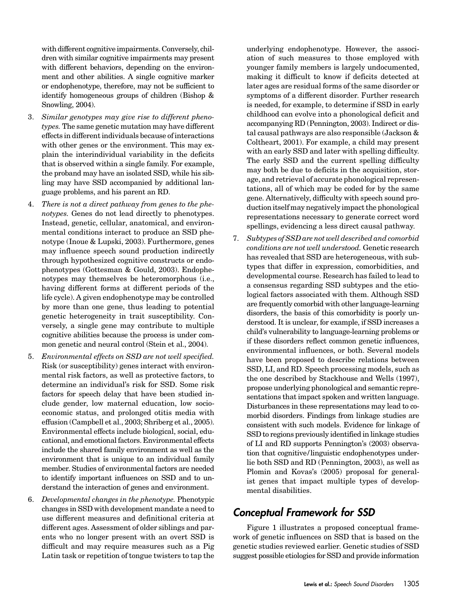with different cognitive impairments. Conversely, children with similar cognitive impairments may present with different behaviors, depending on the environment and other abilities. A single cognitive marker or endophenotype, therefore, may not be sufficient to identify homogeneous groups of children (Bishop & Snowling, 2004).

- 3. Similar genotypes may give rise to different phenotypes. The same genetic mutation may have different effects in different individuals because of interactions with other genes or the environment. This may explain the interindividual variability in the deficits that is observed within a single family. For example, the proband may have an isolated SSD, while his sibling may have SSD accompanied by additional language problems, and his parent an RD.
- 4. There is not a direct pathway from genes to the phenotypes. Genes do not lead directly to phenotypes. Instead, genetic, cellular, anatomical, and environmental conditions interact to produce an SSD phenotype (Inoue & Lupski, 2003). Furthermore, genes may influence speech sound production indirectly through hypothesized cognitive constructs or endophenotypes (Gottesman & Gould, 2003). Endophenotypes may themselves be heteromorphous (i.e., having different forms at different periods of the life cycle). A given endophenotype may be controlled by more than one gene, thus leading to potential genetic heterogeneity in trait susceptibility. Conversely, a single gene may contribute to multiple cognitive abilities because the process is under common genetic and neural control (Stein et al., 2004).
- 5. Environmental effects on SSD are not well specified. Risk (or susceptibility) genes interact with environmental risk factors, as well as protective factors, to determine an individual's risk for SSD. Some risk factors for speech delay that have been studied include gender, low maternal education, low socioeconomic status, and prolonged otitis media with effusion (Campbell et al., 2003; Shriberg et al., 2005). Environmental effects include biological, social, educational, and emotional factors. Environmental effects include the shared family environment as well as the environment that is unique to an individual family member. Studies of environmental factors are needed to identify important influences on SSD and to understand the interaction of genes and environment.
- 6. Developmental changes in the phenotype. Phenotypic changes in SSD with development mandate a need to use different measures and definitional criteria at different ages. Assessment of older siblings and parents who no longer present with an overt SSD is difficult and may require measures such as a Pig Latin task or repetition of tongue twisters to tap the

underlying endophenotype. However, the association of such measures to those employed with younger family members is largely undocumented, making it difficult to know if deficits detected at later ages are residual forms of the same disorder or symptoms of a different disorder. Further research is needed, for example, to determine if SSD in early childhood can evolve into a phonological deficit and accompanying RD (Pennington, 2003). Indirect or distal causal pathways are also responsible (Jackson & Coltheart, 2001). For example, a child may present with an early SSD and later with spelling difficulty. The early SSD and the current spelling difficulty may both be due to deficits in the acquisition, storage, and retrieval of accurate phonological representations, all of which may be coded for by the same gene. Alternatively, difficulty with speech sound production itself may negatively impact the phonological representations necessary to generate correct word spellings, evidencing a less direct causal pathway.

7. Subtypes of SSD are not well described and comorbid conditions are not well understood. Genetic research has revealed that SSD are heterogeneous, with subtypes that differ in expression, comorbidities, and developmental course. Research has failed to lead to a consensus regarding SSD subtypes and the etiological factors associated with them. Although SSD are frequently comorbid with other language-learning disorders, the basis of this comorbidity is poorly understood. It is unclear, for example, if SSD increases a child's vulnerability to language-learning problems or if these disorders reflect common genetic influences, environmental influences, or both. Several models have been proposed to describe relations between SSD, LI, and RD. Speech processing models, such as the one described by Stackhouse and Wells (1997), propose underlying phonological and semantic representations that impact spoken and written language. Disturbances in these representations may lead to comorbid disorders. Findings from linkage studies are consistent with such models. Evidence for linkage of SSD to regions previously identified in linkage studies of LI and RD supports Pennington's (2003) observation that cognitive/ linguistic endophenotypes underlie both SSD and RD (Pennington, 2003), as well as Plomin and Kovas's (2005) proposal for generalist genes that impact multiple types of developmental disabilities.

#### Conceptual Framework for SSD

Figure 1 illustrates a proposed conceptual framework of genetic influences on SSD that is based on the genetic studies reviewed earlier. Genetic studies of SSD suggest possible etiologies for SSD and provide information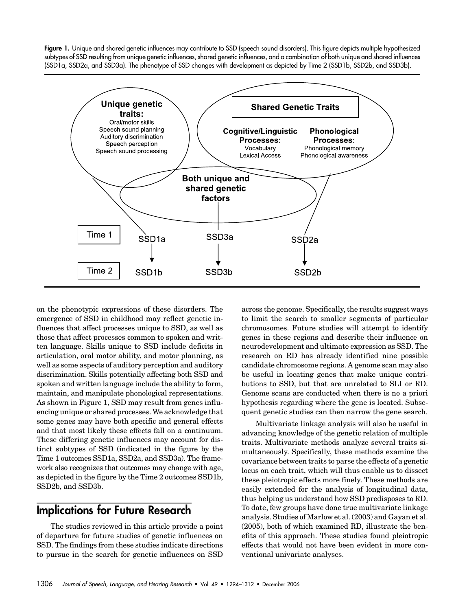Figure 1. Unique and shared genetic influences may contribute to SSD (speech sound disorders). This figure depicts multiple hypothesized subtypes of SSD resulting from unique genetic influences, shared genetic influences, and a combination of both unique and shared influences (SSD1a, SSD2a, and SSD3a). The phenotype of SSD changes with development as depicted by Time 2 (SSD1b, SSD2b, and SSD3b).



on the phenotypic expressions of these disorders. The emergence of SSD in childhood may reflect genetic influences that affect processes unique to SSD, as well as those that affect processes common to spoken and written language. Skills unique to SSD include deficits in articulation, oral motor ability, and motor planning, as well as some aspects of auditory perception and auditory discrimination. Skills potentially affecting both SSD and spoken and written language include the ability to form, maintain, and manipulate phonological representations. As shown in Figure 1, SSD may result from genes influencing unique or shared processes. We acknowledge that some genes may have both specific and general effects and that most likely these effects fall on a continuum. These differing genetic influences may account for distinct subtypes of SSD (indicated in the figure by the Time 1 outcomes SSD1a, SSD2a, and SSD3a). The framework also recognizes that outcomes may change with age, as depicted in the figure by the Time 2 outcomes SSD1b, SSD2b, and SSD3b.

## Implications for Future Research

The studies reviewed in this article provide a point of departure for future studies of genetic influences on SSD. The findings from these studies indicate directions to pursue in the search for genetic influences on SSD across the genome. Specifically, the results suggest ways to limit the search to smaller segments of particular chromosomes. Future studies will attempt to identify genes in these regions and describe their influence on neurodevelopment and ultimate expression as SSD. The research on RD has already identified nine possible candidate chromosome regions. A genome scan may also be useful in locating genes that make unique contributions to SSD, but that are unrelated to SLI or RD. Genome scans are conducted when there is no a priori hypothesis regarding where the gene is located. Subsequent genetic studies can then narrow the gene search.

Multivariate linkage analysis will also be useful in advancing knowledge of the genetic relation of multiple traits. Multivariate methods analyze several traits simultaneously. Specifically, these methods examine the covariance between traits to parse the effects of a genetic locus on each trait, which will thus enable us to dissect these pleiotropic effects more finely. These methods are easily extended for the analysis of longitudinal data, thus helping us understand how SSD predisposes to RD. To date, few groups have done true multivariate linkage analysis. Studies of Marlow et al. (2003) and Gayan et al. (2005), both of which examined RD, illustrate the benefits of this approach. These studies found pleiotropic effects that would not have been evident in more conventional univariate analyses.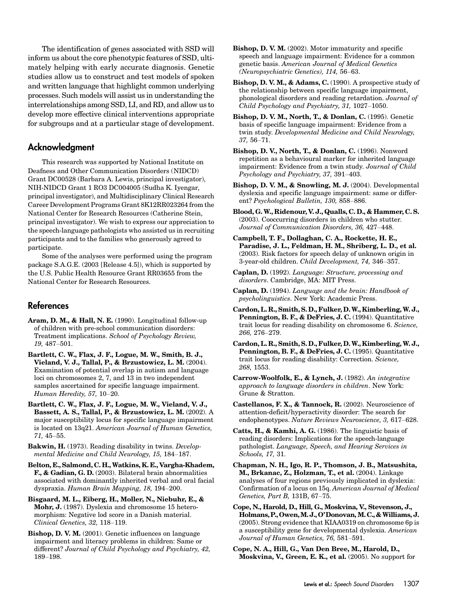The identification of genes associated with SSD will inform us about the core phenotypic features of SSD, ultimately helping with early accurate diagnosis. Genetic studies allow us to construct and test models of spoken and written language that highlight common underlying processes. Such models will assist us in understanding the interrelationships among SSD, LI, and RD, and allow us to develop more effective clinical interventions appropriate for subgroups and at a particular stage of development.

#### Acknowledgment

This research was supported by National Institute on Deafness and Other Communication Disorders (NIDCD) Grant DC00528 (Barbara A. Lewis, principal investigator), NIH-NIDCD Grant 1 RO3 DC004005 (Sudha K. Iyengar, principal investigator), and Multidisciplinary Clinical Research Career Development Programs Grant 8K12RR023264 from the National Center for Research Resources (Catherine Stein, principal investigator). We wish to express our appreciation to the speech-language pathologists who assisted us in recruiting participants and to the families who generously agreed to participate.

Some of the analyses were performed using the program package S.A.G.E. (2003 [Release 4.5]), which is supported by the U.S. Public Health Resource Grant RR03655 from the National Center for Research Resources.

#### References

- Aram, D. M., & Hall, N. E. (1990). Longitudinal follow-up of children with pre-school communication disorders: Treatment implications. School of Psychology Review, 19, 487–501.
- Bartlett, C. W., Flax, J. F., Logue, M. W., Smith, B. J., Vieland, V. J., Tallal, P., & Brzustowicz, L. M. (2004). Examination of potential overlap in autism and language loci on chromosomes 2, 7, and 13 in two independent samples ascertained for specific language impairment. Human Heredity, 57, 10–20.
- Bartlett, C. W., Flax, J. F., Logue, M. W., Vieland, V. J., Bassett, A. S., Tallal, P., & Brzustowicz, L. M. (2002). A major susceptibility locus for specific language impairment is located on 13q21. American Journal of Human Genetics, 71, 45–55.
- Bakwin, H. (1973). Reading disability in twins. Developmental Medicine and Child Neurology, 15, 184–187.
- Belton, E., Salmond, C. H., Watkins, K. E., Vargha-Khadem, F., & Gadian, G. D. (2003). Bilateral brain abnormalities associated with dominantly inherited verbal and oral facial dyspraxia. Human Brain Mapping, 18, 194–200.
- Bisgaard, M. L., Eiberg, H., Moller, N., Niebuhr, E., & Mohr, J. (1987). Dyslexia and chromosome 15 heteromorphism: Negative lod score in a Danish material. Clinical Genetics, 32, 118–119.
- Bishop, D. V. M. (2001). Genetic influences on language impairment and literacy problems in children: Same or different? Journal of Child Psychology and Psychiatry, 42, 189–198.
- Bishop, D. V. M. (2002). Motor immaturity and specific speech and language impairment: Evidence for a common genetic basis. American Journal of Medical Genetics (Neuropsychiatric Genetics), 114, 56–63.
- Bishop, D. V. M., & Adams, C. (1990). A prospective study of the relationship between specific language impairment, phonological disorders and reading retardation. Journal of Child Psychology and Psychiatry, 31, 1027–1050.
- Bishop, D. V. M., North, T., & Donlan, C. (1995). Genetic basis of specific language impairment: Evidence from a twin study. Developmental Medicine and Child Neurology, 37, 56–71.
- Bishop, D. V., North, T., & Donlan, C. (1996). Nonword repetition as a behavioural marker for inherited language impairment: Evidence from a twin study. Journal of Child Psychology and Psychiatry, 37, 391–403.
- Bishop, D. V. M., & Snowling, M. J. (2004). Developmental dyslexia and specific language impairment: same or different? Psychological Bulletin, 130, 858–886.
- Blood, G. W., Ridenour, V. J., Qualls, C. D., & Hammer, C. S. (2003). Cooccurring disorders in children who stutter. Journal of Communication Disorders, 36, 427–448.
- Campbell, T. F., Dollaghan, C. A., Rockette, H. E., Paradise, J. L., Feldman, H. M., Shriberg, L. D., et al. (2003). Risk factors for speech delay of unknown origin in 3-year-old children. Child Development, 74, 346–357.
- Caplan, D. (1992). Language: Structure, processing and disorders. Cambridge, MA: MIT Press.
- Caplan, D. (1994). Language and the brain: Handbook of psycholinguistics. New York: Academic Press.
- Cardon, L. R., Smith, S. D., Fulker, D.W., Kimberling, W. J., Pennington, B. F., & DeFries, J. C. (1994). Quantitative trait locus for reading disability on chromosome 6. Science, 266, 276–279.
- Cardon, L. R., Smith, S. D., Fulker, D.W., Kimberling, W. J., Pennington, B. F., & DeFries, J. C. (1995). Quantitative trait locus for reading disability: Correction. Science, 268, 1553.
- Carrow-Woolfolk, E., & Lynch, J. (1982). An integrative approach to language disorders in children. New York: Grune & Stratton.
- Castellanos, F. X., & Tannock, R. (2002). Neuroscience of attention-deficit/hyperactivity disorder: The search for endophenotypes. Nature Reviews Neuroscience, 3, 617–628.
- Catts, H., & Kamhi, A. G. (1986). The linguistic basis of reading disorders: Implications for the speech-language pathologist. Language, Speech, and Hearing Services in Schools, 17, 31.
- Chapman, N. H., Igo, R. P., Thomson, J. B., Matsushita, M., Brkanac, Z., Holzman, T., et al. (2004). Linkage analyses of four regions previously implicated in dyslexia: Confirmation of a locus on 15q. American Journal of Medical Genetics, Part B, 131B, 67–75.
- Cope, N., Harold, D., Hill, G., Moskvina, V., Stevenson, J., Holmans, P., Owen, M. J., O'Donovan, M. C., & Williams, J. (2005). Strong evidence that KIAA0319 on chromosome 6p is a susceptibility gene for developmental dyslexia. American Journal of Human Genetics, 76, 581–591.
- Cope, N. A., Hill, G., Van Den Bree, M., Harold, D., Moskvina, V., Green, E. K., et al. (2005). No support for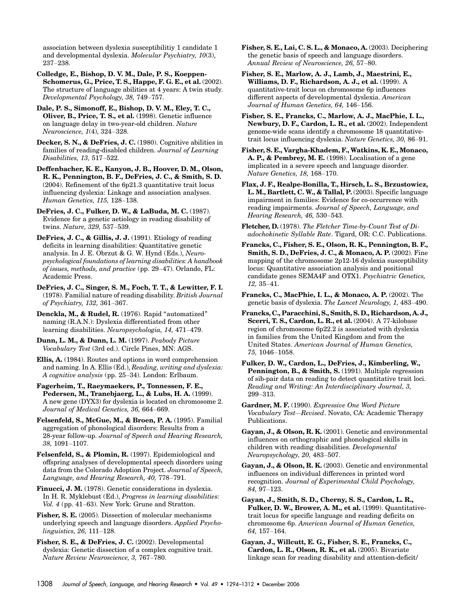association between dyslexia susceptibilitiy 1 candidate 1 and developmental dyslexia. Molecular Psychiatry, 10(3), 237–238.

Colledge, E., Bishop, D. V. M., Dale, P. S., Koeppen-Schomerus, G., Price, T. S., Happe, F. G. E., et al. (2002). The structure of language abilities at 4 years: A twin study. Developmental Psychology, 38, 749–757.

Dale, P. S., Simonoff, E., Bishop, D. V. M., Eley, T. C., Oliver, B., Price, T. S., et al. (1998). Genetic influence on language delay in two-year-old children. Nature Neuroscience, 1(4), 324–328.

Decker, S. N., & DeFries, J. C. (1980). Cognitive abilities in families of reading-disabled children. Journal of Learning Disabilities, 13, 517–522.

Deffenbacher, K. E., Kanyon, J. B., Hoover, D. M., Olson, R. K., Pennington, B. F., DeFries, J. C., & Smith, S. D. (2004). Refinement of the 6p21.3 quantitative trait locus influencing dyslexia: Linkage and association analyses. Human Genetics, 115, 128–138.

DeFries, J. C., Fulker, D. W., & LaBuda, M. C. (1987). Evidence for a genetic aetiology in reading disability of twins. Nature, 329, 537–539.

DeFries, J. C., & Gillis, J. J. (1991). Etiology of reading deficits in learning disabilities: Quantitative genetic analysis. In J. E. Obrzut & G. W. Hynd (Eds.), Neuropsychological foundations of learning disabilities: A handbook of issues, methods, and practice (pp. 29–47). Orlando, FL: Academic Press.

DeFries, J. C., Singer, S. M., Foch, T. T., & Lewitter, F. I. (1978). Familial nature of reading disability. British Journal of Psychiatry, 132, 361–367.

Denckla, M., & Rudel, R. (1976). Rapid "automatized" naming (R.A.N.): Dyslexia differentiated from other learning disabilities. Neuropsychologia, 14, 471–479.

Dunn, L. M., & Dunn, L. M. (1997). Peabody Picture Vocabulary Test (3rd ed.). Circle Pines, MN: AGS.

Ellis, A. (1984). Routes and options in word comprehension and naming. In A. Ellis (Ed.), Reading, writing and dyslexia: A cognitive analysis (pp. 25–34). London: Erlbaum.

Fagerheim, T., Raeymaekers, P., Tonnessen, F. E., Pedersen, M., Tranebjaerg, L., & Lubs, H. A. (1999). A new gene (DYX3) for dyslexia is located on chromosome 2. Journal of Medical Genetics, 36, 664–669.

Felsenfeld, S., McGue, M., & Broen, P. A. (1995). Familial aggregation of phonological disorders: Results from a 28-year follow-up. Journal of Speech and Hearing Research, 38, 1091–1107.

Felsenfeld, S., & Plomin, R. (1997). Epidemiological and offspring analyses of developmental speech disorders using data from the Colorado Adoption Project. Journal of Speech, Language, and Hearing Research, 40, 778–791.

Finucci, J. M. (1978). Genetic considerations in dyslexia. In H. R. Myklebust (Ed.), Progress in learning disabilities: Vol. 4 (pp. 41–63). New York: Grune and Stratton.

Fisher, S. E. (2005). Dissection of molecular mechanisms underlying speech and language disorders. Applied Psycholinguistics, 26, 111–128.

Fisher, S. E., & DeFries, J. C. (2002). Developmental dyslexia: Genetic dissection of a complex cognitive trait. Nature Review Neuroscience, 3, 767–780.

Fisher, S. E., Lai, C. S. L., & Monaco, A. (2003). Deciphering the genetic basis of speech and language disorders. Annual Review of Neuroscience, 26, 57–80.

Fisher, S. E., Marlow, A. J., Lamb, J., Maestrini, E., Williams, D. F., Richardson, A. J., et al. (1999). A quantitative-trait locus on chromosome 6p influences different aspects of developmental dyslexia. American Journal of Human Genetics, 64, 146–156.

Fisher, S. E., Francks, C., Marlow, A. J., MacPhie, I. L., Newbury, D. F., Cardon, L. R., et al. (2002). Independent genome-wide scans identify a chromosome 18 quantitativetrait locus influencing dyslexia. Nature Genetics, 30, 86–91.

Fisher, S. E., Vargha-Khadem, F., Watkins, K. E., Monaco, **A. P., & Pembrey, M. E.** (1998). Localisation of a gene implicated in a severe speech and language disorder. Nature Genetics, 18, 168–170.

Flax, J. F., Realpe-Bonilla, T., Hirsch, L. S., Brzustowicz, L. M., Bartlett, C. W., & Tallal, P. (2003). Specific language impairment in families: Evidence for co-occurrence with reading impairments. Journal of Speech, Language, and Hearing Research, 46, 530–543.

Fletcher, D. (1978). The Fletcher Time-by-Count Test of Diadochokinetic Syllable Rate. Tigard, OR: C.C. Publications.

Francks, C., Fisher, S. E., Olson, R. K., Pennington, B. F., Smith, S. D., DeFries, J. C., & Monaco, A. P. (2002). Fine mapping of the chromosome 2p12-16 dyslexia susceptibility locus: Quantitative association analysis and positional candidate genes SEMA4F and OTX1. Psychiatric Genetics, 12, 35–41.

Francks, C., MacPhie, I. L., & Monaco, A. P. (2002). The genetic basis of dyslexia. The Lancet Neurology, 1, 483–490.

Francks, C., Paracchini, S., Smith, S. D., Richardson, A. J., Scerri, T. S., Cardon, L. R., et al. (2004). A 77-kilobase region of chromosome 6p22.2 is associated with dyslexia in families from the United Kingdom and from the United States. American Journal of Human Genetics, 75, 1046–1058.

Fulker, D. W., Cardon, L., DeFries, J., Kimberling, W., Pennington, B., & Smith, S. (1991). Multiple regression of sib-pair data on reading to detect quantitative trait loci. Reading and Writing: An Interdisciplinary Journal, 3, 299–313.

Gardner, M. F. (1990). Expressive One Word Picture Vocabulary Test—Revised. Novato, CA: Academic Therapy Publications.

Gayan, J., & Olson, R. K. (2001). Genetic and environmental influences on orthographic and phonological skills in children with reading disabilities. Developmental Neuropsychology, 20, 483–507.

Gayan, J., & Olson, R. K. (2003). Genetic and environmental influences on individual differences in printed word recognition. Journal of Experimental Child Psychology, 84, 97–123.

Gayan, J., Smith, S. D., Cherny, S. S., Cardon, L. R., Fulker, D. W., Brower, A. M., et al. (1999). Quantitativetrait locus for specific language and reading deficits on chromosome 6p. American Journal of Human Genetics, 64, 157–164.

Gayan, J., Willcutt, E. G., Fisher, S. E., Francks, C., Cardon, L. R., Olson, R. K., et al. (2005). Bivariate linkage scan for reading disability and attention-deficit/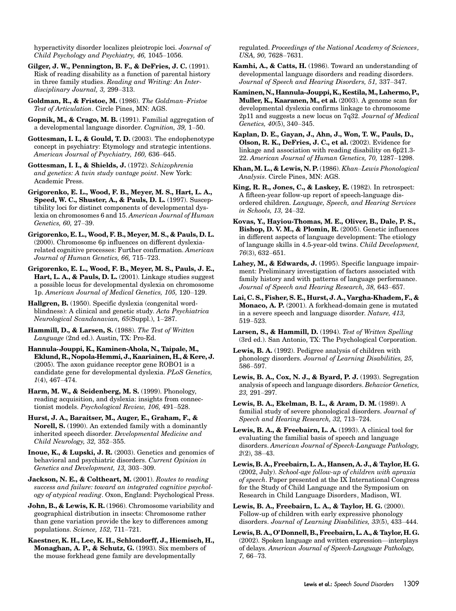hyperactivity disorder localizes pleiotropic loci. Journal of Child Psychology and Psychiatry, 46, 1045–1056.

Gilger, J. W., Pennington, B. F., & DeFries, J. C. (1991). Risk of reading disability as a function of parental history in three family studies. Reading and Writing: An Interdisciplinary Journal, 3, 299–313.

Goldman, R., & Fristoe, M. (1986). The Goldman–Fristoe Test of Articulation. Circle Pines, MN: AGS.

Gopnik, M., & Crago, M. B. (1991). Familial aggregation of a developmental language disorder. Cognition, 39, 1–50.

Gottesman, I. I., & Gould, T. D. (2003). The endophenotype concept in psychiatry: Etymology and strategic intentions. American Journal of Psychiatry, 160, 636–645.

Gottesman, I. I., & Shields, J. (1972). Schizophrenia and genetics: A twin study vantage point. New York: Academic Press.

Grigorenko, E. L., Wood, F. B., Meyer, M. S., Hart, L. A., Speed, W. C., Shuster, A., & Pauls, D. L. (1997). Susceptibility loci for distinct components of developmental dyslexia on chromosomes 6 and 15. American Journal of Human Genetics, 60, 27–39.

Grigorenko, E. L., Wood, F. B., Meyer, M. S., & Pauls, D. L. (2000). Chromosome 6p influences on different dyslexiarelated cognitive processes: Further confirmation. American Journal of Human Genetics, 66, 715–723.

Grigorenko, E. L., Wood, F. B., Meyer, M. S., Pauls, J. E., Hart, L. A., & Pauls, D. L. (2001). Linkage studies suggest a possible locus for developmental dyslexia on chromosome 1p. American Journal of Medical Genetics, 105, 120–129.

Hallgren, B. (1950). Specific dyslexia (congenital wordblindness): A clinical and genetic study. Acta Psychiatrica Neurological Scandanavian, 65(Suppl.), 1–287.

Hammill, D., & Larsen, S. (1988). The Test of Written Language (2nd ed.). Austin, TX: Pro-Ed.

Hannula-Jouppi, K., Kaminen-Ahola, N., Taipale, M., Eklund, R., Nopola-Hemmi, J., Kaariainen, H., & Kere, J. (2005). The axon guidance receptor gene ROBO1 is a candidate gene for developmental dyslexia. PLoS Genetics, 1(4), 467–474.

Harm, M. W., & Seidenberg, M. S. (1999). Phonology, reading acquisition, and dyslexia: insights from connectionist models. Psychological Review, 106, 491–528.

Hurst, J. A., Baraitser, M., Auger, E., Graham, F., & Norell, S. (1990). An extended family with a dominantly inherited speech disorder. Developmental Medicine and Child Neurology, 32, 352–355.

Inoue, K., & Lupski, J. R. (2003). Genetics and genomics of behavioral and psychiatric disorders. Current Opinion in Genetics and Development, 13, 303–309.

Jackson, N. E., & Coltheart, M. (2001). Routes to reading success and failure: toward an integrated cognitive psychology of atypical reading. Oxon, England: Psychological Press.

John, B., & Lewis, K. R. (1966). Chromosome variability and geographical distribution in insects: Chromosome rather than gene variation provide the key to differences among populations. Science, 152, 711–721.

Kaestner, K. H., Lee, K. H., Schlondorff, J., Hiemisch, H., Monaghan, A. P., & Schutz, G. (1993). Six members of the mouse forkhead gene family are developmentally

regulated. Proceedings of the National Academy of Sciences, USA, 90, 7628–7631.

Kamhi, A., & Catts, H. (1986). Toward an understanding of developmental language disorders and reading disorders. Journal of Speech and Hearing Disorders, 51, 337–347.

Kaminen, N., Hannula-Jouppi, K., Kestila, M., Lahermo, P., Muller, K., Kaaranen, M., et al. (2003). A genome scan for developmental dyslexia confirms linkage to chromosome 2p11 and suggests a new locus on 7q32. Journal of Medical Genetics, 40(5), 340–345.

Kaplan, D. E., Gayan, J., Ahn, J., Won, T. W., Pauls, D., Olson, R. K., DeFries, J. C., et al. (2002). Evidence for linkage and association with reading disability on 6p21.3- 22. American Journal of Human Genetics, 70, 1287–1298.

Khan, M. L., & Lewis, N. P. (1986). Khan–Lewis Phonological Analysis. Circle Pines, MN: AGS.

King, R. R., Jones, C., & Laskey, E. (1982). In retrospect: A fifteen-year follow-up report of speech-language disordered children. Language, Speech, and Hearing Services in Schools, 13, 24–32.

Kovas, Y., Hayiou-Thomas, M. E., Oliver, B., Dale, P. S., Bishop, D. V. M., & Plomin, R. (2005). Genetic influences in different aspects of language development: The etiology of language skills in 4.5-year-old twins. Child Development, 76(3), 632–651.

Lahey, M., & Edwards, J. (1995). Specific language impairment: Preliminary investigation of factors associated with family history and with patterns of language performance. Journal of Speech and Hearing Research, 38, 643–657.

Lai, C. S., Fisher, S. E., Hurst, J. A., Vargha-Khadem, F., & Monaco, A. P. (2001). A forkhead-domain gene is mutated in a severe speech and language disorder. Nature, 413, 519–523.

Larsen, S., & Hammill, D. (1994). Test of Written Spelling (3rd ed.). San Antonio, TX: The Psychological Corporation.

Lewis, B. A. (1992). Pedigree analysis of children with phonology disorders. Journal of Learning Disabilities, 25, 586–597.

Lewis, B. A., Cox, N. J., & Byard, P. J. (1993). Segregation analysis of speech and language disorders. Behavior Genetics, 23, 291–297.

Lewis, B. A., Ekelman, B. L., & Aram, D. M. (1989). A familial study of severe phonological disorders. Journal of Speech and Hearing Research, 32, 713–724.

Lewis, B. A., & Freebairn, L. A. (1993). A clinical tool for evaluating the familial basis of speech and language disorders. American Journal of Speech-Language Pathology, 2(2), 38–43.

Lewis, B. A., Freebairn, L. A., Hansen, A. J., & Taylor, H. G. (2002, July). School-age follow-up of children with apraxia of speech. Paper presented at the IX International Congress for the Study of Child Language and the Symposium on Research in Child Language Disorders, Madison, WI.

Lewis, B. A., Freebairn, L. A., & Taylor, H. G. (2000). Follow-up of children with early expressive phonology disorders. Journal of Learning Disabilities, 33(5), 433–444.

Lewis, B. A., O'Donnell, B., Freebairn, L. A., & Taylor, H. G. (2002). Spoken language and written expression—interplays of delays. American Journal of Speech-Language Pathology, 7, 66–73.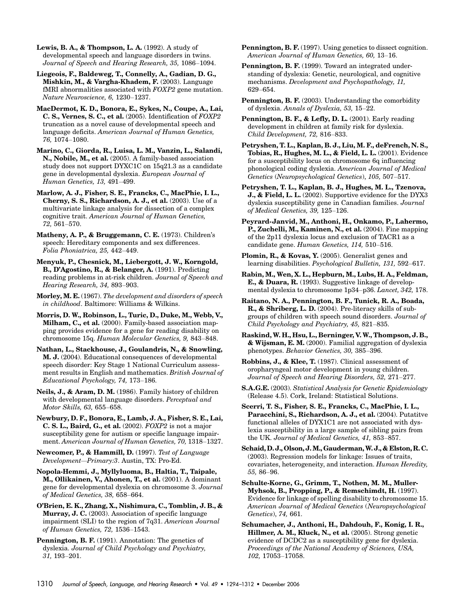Lewis, B. A., & Thompson, L. A. (1992). A study of developmental speech and language disorders in twins. Journal of Speech and Hearing Research, 35, 1086–1094.

Liegeois, F., Baldeweg, T., Connelly, A., Gadian, D. G., Mishkin, M., & Vargha-Khadem, F. (2003). Language fMRI abnormalities associated with  $FOXP2$  gene mutation. Nature Neuroscience, 6, 1230–1237.

MacDermot, K. D., Bonora, E., Sykes, N., Coupe, A., Lai, C. S., Vernes, S. C., et al. (2005). Identification of FOXP2 truncation as a novel cause of developmental speech and language deficits. American Journal of Human Genetics, 76, 1074–1080.

Marino, C., Giorda, R., Luisa, L. M., Vanzin, L., Salandi, N., Nobile, M., et al. (2005). A family-based association study does not support DYXC1C on 15q21.3 as a candidate gene in developmental dyslexia. European Journal of Human Genetics, 13, 491–499.

Marlow, A. J., Fisher, S. E., Francks, C., MacPhie, I. L., Cherny, S. S., Richardson, A. J., et al. (2003). Use of a multivariate linkage analysis for dissection of a complex cognitive trait. American Journal of Human Genetics, 72, 561–570.

Matheny, A. P., & Bruggemann, C. E. (1973). Children's speech: Hereditary components and sex differences. Folia Phoniatrica, 25, 442–449.

Menyuk, P., Chesnick, M., Liebergott, J. W., Korngold, B., D'Agostino, R., & Belanger, A. (1991). Predicting reading problems in at-risk children. Journal of Speech and Hearing Research, 34, 893–903.

Morley, M. E. (1967). The development and disorders of speech in childhood. Baltimore: Williams & Wilkins.

Morris, D. W., Robinson, L., Turic, D., Duke, M., Webb, V., Milham, C., et al. (2000). Family-based association mapping provides evidence for a gene for reading disability on chromosome 15q. Human Molecular Genetics, 9, 843–848.

Nathan, L., Stackhouse, J., Goulandris, N., & Snowling, M. J. (2004). Educational consequences of developmental speech disorder: Key Stage 1 National Curriculum assessment results in English and mathematics. British Journal of Educational Psychology, 74, 173–186.

Neils, J., & Aram, D. M. (1986). Family history of children with developmental language disorders. Perceptual and Motor Skills, 63, 655–658.

Newbury, D. F., Bonora, E., Lamb, J. A., Fisher, S. E., Lai, C. S. L., Baird, G., et al. (2002). FOXP2 is not a major susceptibility gene for autism or specific language impairment. American Journal of Human Genetics, 70, 1318–1327.

Newcomer, P., & Hammill, D. (1997). Test of Language Development—Primary:3. Austin, TX: Pro-Ed.

Nopola-Hemmi, J., Myllyluoma, B., Haltia, T., Taipale, M., Ollikainen, V., Ahonen, T., et al. (2001). A dominant gene for developmental dyslexia on chromosome 3. Journal of Medical Genetics, 38, 658–664.

O'Brien, E. K., Zhang, X., Nishimura, C., Tomblin, J. B., & Murray, J. C. (2003). Association of specific language impairment (SLI) to the region of 7q31. American Journal of Human Genetics, 72, 1536–1543.

Pennington, B. F. (1991). Annotation: The genetics of dyslexia. Journal of Child Psychology and Psychiatry, 31, 193–201.

Pennington, B. F. (1997). Using genetics to dissect cognition. American Journal of Human Genetics, 60, 13–16.

Pennington, B. F. (1999). Toward an integrated understanding of dyslexia: Genetic, neurological, and cognitive mechanisms. Development and Psychopathology, 11, 629–654.

Pennington, B. F. (2003). Understanding the comorbidity of dyslexia. Annals of Dyslexia, 53, 15–22.

Pennington, B. F., & Lefly, D. L. (2001). Early reading development in children at family risk for dyslexia. Child Development, 72, 816–833.

Petryshen, T. L., Kaplan, B. J., Liu, M. F., deFrench, N. S., Tobias, R., Hughes, M. L., & Field, L. L. (2001). Evidence for a susceptibility locus on chromosome 6q influencing phonological coding dyslexia. American Journal of Medical Genetics (Neuropsychological Genetics), 105, 507–517.

Petryshen, T. L., Kaplan, B. J., Hughes, M. L., Tzenova, J., & Field, L. L. (2002). Supportive evidence for the DYX3 dyslexia susceptibility gene in Canadian families. Journal of Medical Genetics, 39, 125–126.

Peyrard-Janvid, M., Anthoni, H., Onkamo, P., Lahermo, P., Zuchelli, M., Kaminen, N., et al. (2004). Fine mapping of the 2p11 dyslexia locus and exclusion of TACR1 as a candidate gene. Human Genetics, 114, 510–516.

Plomin, R., & Kovas, Y. (2005). Generalist genes and learning disabilities. Psychological Bulletin, 131, 592–617.

Rabin, M., Wen, X. L., Hepburn, M., Lubs, H. A., Feldman, E., & Duara, R. (1993). Suggestive linkage of developmental dyslexia to chromosome 1p34–p36. Lancet, 342, 178.

Raitano, N. A., Pennington, B. F., Tunick, R. A., Boada, R., & Shriberg, L. D. (2004). Pre-literacy skills of subgroups of children with speech sound disorders. Journal of Child Psychology and Psychiatry, 45, 821–835.

Raskind, W. H., Hsu, L., Berninger, V. W., Thompson, J. B., & Wijsman, E. M. (2000). Familial aggregation of dyslexia phenotypes. Behavior Genetics, 30, 385–396.

Robbins, J., & Klee, T. (1987). Clinical assessment of oropharyngeal motor development in young children. Journal of Speech and Hearing Disorders, 52, 271–277.

S.A.G.E. (2003). Statistical Analysis for Genetic Epidemiology (Release 4.5). Cork, Ireland: Statistical Solutions.

Scerri, T. S., Fisher, S. E., Francks, C., MacPhie, I. L., Paracchini, S., Richardson, A. J., et al. (2004). Putatitve functional alleles of DYX1C1 are not associated with dyslexia susceptibility in a large sample of sibling pairs from the UK. Journal of Medical Genetics, 41, 853–857.

Schaid, D. J., Olson, J. M., Gauderman, W. J., & Elston, R. C. (2003). Regression models for linkage: Issues of traits, covariates, heterogeneity, and interaction. Human Heredity, 55, 86–96.

Schulte-Korne, G., Grimm, T., Nothen, M. M., Muller-Myhsok, B., Propping, P., & Remschimdt, H. (1997). Evidence for linkage of spelling disability to chromosome 15. American Journal of Medical Genetics (Neuropsychological Genetics), 74, 661.

Schumacher, J., Anthoni, H., Dahdouh, F., Konig, I. R., Hillmer, A. M., Kluck, N., et al. (2005). Strong genetic evidence of DCDC2 as a susceptibility gene for dyslexia. Proceedings of the National Academy of Sciences, USA, 102, 17053–17058.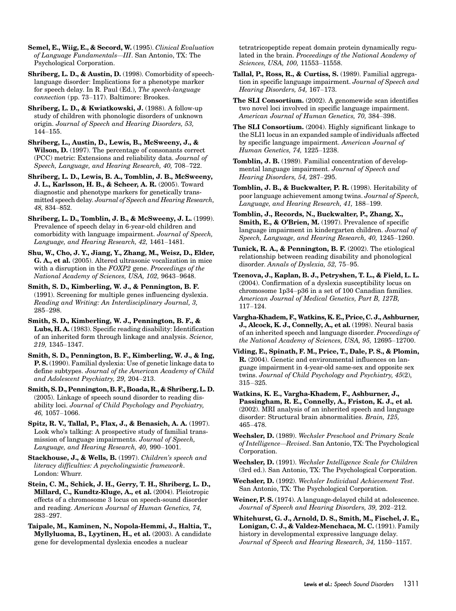Semel, E., Wiig, E., & Secord, W. (1995). Clinical Evaluation of Language Fundamentals—III. San Antonio, TX: The Psychological Corporation.

Shriberg, L. D., & Austin, D. (1998). Comorbidity of speechlanguage disorder: Implications for a phenotype marker for speech delay. In R. Paul (Ed.), The speech-language connection (pp. 73–117). Baltimore: Brookes.

Shriberg, L. D., & Kwiatkowski, J. (1988). A follow-up study of children with phonologic disorders of unknown origin. Journal of Speech and Hearing Disorders, 53, 144–155.

Shriberg, L., Austin, D., Lewis, B., McSweeny, J., & Wilson, D. (1997). The percentage of consonants correct (PCC) metric: Extensions and reliability data. Journal of Speech, Language, and Hearing Research, 40, 708–722.

Shriberg, L. D., Lewis, B. A., Tomblin, J. B., McSweeny, J. L., Karlsson, H. B., & Scheer, A. R. (2005). Toward diagnostic and phenotype markers for genetically transmitted speech delay. Journal of Speech and Hearing Research, 48, 834–852.

Shriberg, L. D., Tomblin, J. B., & McSweeny, J. L. (1999). Prevalence of speech delay in 6-year-old children and comorbidity with language impairment. Journal of Speech, Language, and Hearing Research, 42, 1461–1481.

Shu, W., Cho, J. Y., Jiang, Y., Zhang, M., Weisz, D., Elder, G. A., et al. (2005). Altered ultrasonic vocalization in mice with a disruption in the FOXP2 gene. Proceedings of the National Academy of Sciences, USA, 102, 9643–9648.

Smith, S. D., Kimberling, W. J., & Pennington, B. F. (1991). Screening for multiple genes influencing dyslexia. Reading and Writing: An Interdisciplinary Journal, 3, 285–298.

Smith, S. D., Kimberling, W. J., Pennington, B. F., & Lubs, H. A. (1983). Specific reading disability: Identification of an inherited form through linkage and analysis. Science, 219, 1345–1347.

Smith, S. D., Pennington, B. F., Kimberling, W. J., & Ing, P. S. (1990). Familial dyslexia: Use of genetic linkage data to define subtypes. Journal of the American Academy of Child and Adolescent Psychiatry, 29, 204–213.

Smith, S. D., Pennington, B. F., Boada, R., & Shriberg, L. D. (2005). Linkage of speech sound disorder to reading disability loci. Journal of Child Psychology and Psychiatry, 46, 1057–1066.

Spitz, R. V., Tallal, P., Flax, J., & Benasich, A. A. (1997). Look who's talking: A prospective study of familial transmission of language impairments. Journal of Speech, Language, and Hearing Research, 40, 990–1001.

Stackhouse, J., & Wells, B. (1997). Children's speech and literacy difficulties: A psycholinguistic framework. London: Whurr.

Stein, C. M., Schick, J. H., Gerry, T. H., Shriberg, L. D., Millard, C., Kundtz-Kluge, A., et al. (2004). Pleiotropic effects of a chromosome 3 locus on speech-sound disorder and reading. American Journal of Human Genetics, 74, 283–297.

Taipale, M., Kaminen, N., Nopola-Hemmi, J., Haltia, T., Myllyluoma, B., Lyytinen, H., et al. (2003). A candidate gene for developmental dyslexia encodes a nuclear

tetratricopeptide repeat domain protein dynamically regulated in the brain. Proceedings of the National Academy of Sciences, USA, 100, 11553–11558.

Tallal, P., Ross, R., & Curtiss, S. (1989). Familial aggregation in specific language impairment. Journal of Speech and Hearing Disorders, 54, 167–173.

The SLI Consortium. (2002). A genomewide scan identifies two novel loci involved in specific language impairment. American Journal of Human Genetics, 70, 384–398.

The SLI Consortium. (2004). Highly significant linkage to the SLI1 locus in an expanded sample of individuals affected by specific language impairment. American Journal of Human Genetics, 74, 1225–1238.

Tomblin, J. B. (1989). Familial concentration of developmental language impairment. Journal of Speech and Hearing Disorders, 54, 287–295.

Tomblin, J. B., & Buckwalter, P. R. (1998). Heritability of poor language achievement among twins. Journal of Speech, Language, and Hearing Research, 41, 188–199.

Tomblin, J., Records, N., Buckwalter, P., Zhang, X., Smith, E., & O'Brien, M. (1997). Prevalence of specific language impairment in kindergarten children. Journal of Speech, Language, and Hearing Research, 40, 1245–1260.

Tunick, R. A., & Pennington, B. F. (2002). The etiological relationship between reading disability and phonological disorder. Annals of Dyslexia, 52, 75–95.

Tzenova, J., Kaplan, B. J., Petryshen, T. L., & Field, L. L. (2004). Confirmation of a dyslexia susceptibility locus on chromosome 1p34–p36 in a set of 100 Canadian families. American Journal of Medical Genetics, Part B, 127B, 117–124.

Vargha-Khadem, F., Watkins, K. E., Price, C. J., Ashburner, J., Alcock, K. J., Connelly, A., et al. (1998). Neural basis of an inherited speech and language disorder. Proceedings of the National Academy of Sciences, USA, 95, 12695–12700.

Viding, E., Spinath, F. M., Price, T., Dale, P. S., & Plomin, R. (2004). Genetic and environmental influences on language impairment in 4-year-old same-sex and opposite sex twins. Journal of Child Psychology and Psychiatry, 45(2), 315–325.

Watkins, K. E., Vargha-Khadem, F., Ashburner, J., Passingham, R. E., Connelly, A., Friston, K. J., et al. (2002). MRI analysis of an inherited speech and language disorder: Structural brain abnormalities. Brain, 125, 465–478.

Wechsler, D. (1989). Wechsler Preschool and Primary Scale of Intelligence—Revised. San Antonio, TX: The Psychological Corporation.

Wechsler, D. (1991). Wechsler Intelligence Scale for Children (3rd ed.). San Antonio, TX: The Psychological Corporation.

Wechsler, D. (1992). Wechsler Individual Achievement Test. San Antonio, TX: The Psychological Corporation.

Weiner, P. S. (1974). A language-delayed child at adolescence. Journal of Speech and Hearing Disorders, 39, 202–212.

Whitehurst, G. J., Arnold, D. S., Smith, M., Fischel, J. E., Lonigan, C. J., & Valdez-Menchaca, M. C. (1991). Family history in developmental expressive language delay. Journal of Speech and Hearing Research, 34, 1150–1157.